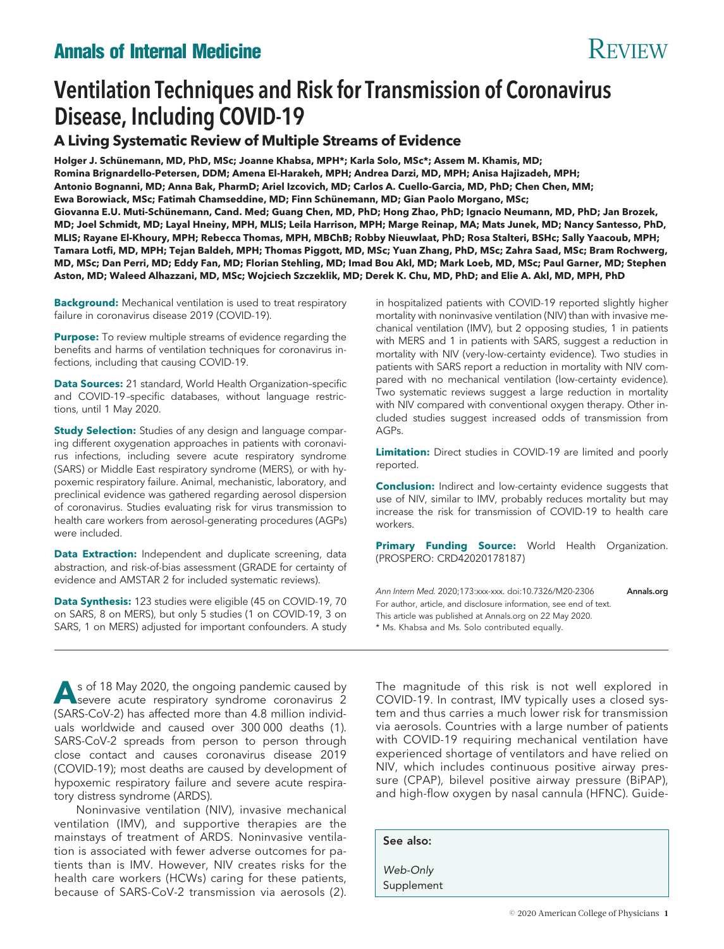# **Annals of Internal Medicine** Review Review Review

# Ventilation Techniques and Risk for Transmission of Coronavirus Disease, Including COVID-19

# **A Living Systematic Review of Multiple Streams of Evidence**

Holger J. Schünemann, MD, PhD, MSc; Joanne Khabsa, MPH\*; Karla Solo, MSc\*; Assem M. Khamis, MD; **Romina Brignardello-Petersen, DDM; Amena El-Harakeh, MPH; Andrea Darzi, MD, MPH; Anisa Hajizadeh, MPH; Antonio Bognanni, MD; Anna Bak, PharmD; Ariel Izcovich, MD; Carlos A. Cuello-Garcia, MD, PhD; Chen Chen, MM;** Ewa Borowiack, MSc; Fatimah Chamseddine, MD; Finn Schünemann, MD; Gian Paolo Morgano, MSc; Giovanna E.U. Muti-Schünemann, Cand. Med; Guang Chen, MD, PhD; Hong Zhao, PhD; Ignacio Neumann, MD, PhD; Jan Brozek, **MD; Joel Schmidt, MD; Layal Hneiny, MPH, MLIS; Leila Harrison, MPH; Marge Reinap, MA; Mats Junek, MD; Nancy Santesso, PhD, MLIS; Rayane El-Khoury, MPH; Rebecca Thomas, MPH, MBChB; Robby Nieuwlaat, PhD; Rosa Stalteri, BSHc; Sally Yaacoub, MPH; Tamara Lotfi, MD, MPH; Tejan Baldeh, MPH; Thomas Piggott, MD, MSc; Yuan Zhang, PhD, MSc; Zahra Saad, MSc; Bram Rochwerg, MD, MSc; Dan Perri, MD; Eddy Fan, MD; Florian Stehling, MD; Imad Bou Akl, MD; Mark Loeb, MD, MSc; Paul Garner, MD; Stephen Aston, MD; Waleed Alhazzani, MD, MSc; Wojciech Szczeklik, MD; Derek K. Chu, MD, PhD; and Elie A. Akl, MD, MPH, PhD**

**Background:** Mechanical ventilation is used to treat respiratory failure in coronavirus disease 2019 (COVID-19).

**Purpose:** To review multiple streams of evidence regarding the benefits and harms of ventilation techniques for coronavirus infections, including that causing COVID-19.

**Data Sources:** 21 standard, World Health Organization–specific and COVID-19 –specific databases, without language restrictions, until 1 May 2020.

**Study Selection:** Studies of any design and language comparing different oxygenation approaches in patients with coronavirus infections, including severe acute respiratory syndrome (SARS) or Middle East respiratory syndrome (MERS), or with hypoxemic respiratory failure. Animal, mechanistic, laboratory, and preclinical evidence was gathered regarding aerosol dispersion of coronavirus. Studies evaluating risk for virus transmission to health care workers from aerosol-generating procedures (AGPs) were included.

**Data Extraction:** Independent and duplicate screening, data abstraction, and risk-of-bias assessment (GRADE for certainty of evidence and AMSTAR 2 for included systematic reviews).

**Data Synthesis:** 123 studies were eligible (45 on COVID-19, 70 on SARS, 8 on MERS), but only 5 studies (1 on COVID-19, 3 on SARS, 1 on MERS) adjusted for important confounders. A study

s of 18 May 2020, the ongoing pandemic caused by<br>severe acute respiratory syndrome coronavirus 2 (SARS-CoV-2) has affected more than 4.8 million individuals worldwide and caused over 300 000 deaths (1). SARS-CoV-2 spreads from person to person through close contact and causes coronavirus disease 2019 (COVID-19); most deaths are caused by development of hypoxemic respiratory failure and severe acute respiratory distress syndrome (ARDS).

Noninvasive ventilation (NIV), invasive mechanical ventilation (IMV), and supportive therapies are the mainstays of treatment of ARDS. Noninvasive ventilation is associated with fewer adverse outcomes for patients than is IMV. However, NIV creates risks for the health care workers (HCWs) caring for these patients, because of SARS-CoV-2 transmission via aerosols (2).

in hospitalized patients with COVID-19 reported slightly higher mortality with noninvasive ventilation (NIV) than with invasive mechanical ventilation (IMV), but 2 opposing studies, 1 in patients with MERS and 1 in patients with SARS, suggest a reduction in mortality with NIV (very-low-certainty evidence). Two studies in patients with SARS report a reduction in mortality with NIV compared with no mechanical ventilation (low-certainty evidence). Two systematic reviews suggest a large reduction in mortality with NIV compared with conventional oxygen therapy. Other included studies suggest increased odds of transmission from AGPs.

**Limitation:** Direct studies in COVID-19 are limited and poorly reported.

**Conclusion:** Indirect and low-certainty evidence suggests that use of NIV, similar to IMV, probably reduces mortality but may increase the risk for transmission of COVID-19 to health care workers.

**Primary Funding Source:** World Health Organization. (PROSPERO: CRD42020178187)

Ann Intern Med. 2020;173:xxx-xxx. doi:10.7326/M20-2306 [Annals.org](http://www.annals.org) For author, article, and disclosure information, see end of text. This article was published at Annals.org on 22 May 2020. \* Ms. Khabsa and Ms. Solo contributed equally.

The magnitude of this risk is not well explored in COVID-19. In contrast, IMV typically uses a closed system and thus carries a much lower risk for transmission via aerosols. Countries with a large number of patients with COVID-19 requiring mechanical ventilation have experienced shortage of ventilators and have relied on NIV, which includes continuous positive airway pressure (CPAP), bilevel positive airway pressure (BiPAP), and high-flow oxygen by nasal cannula (HFNC). Guide-

See also:

*Web-Only* Supplement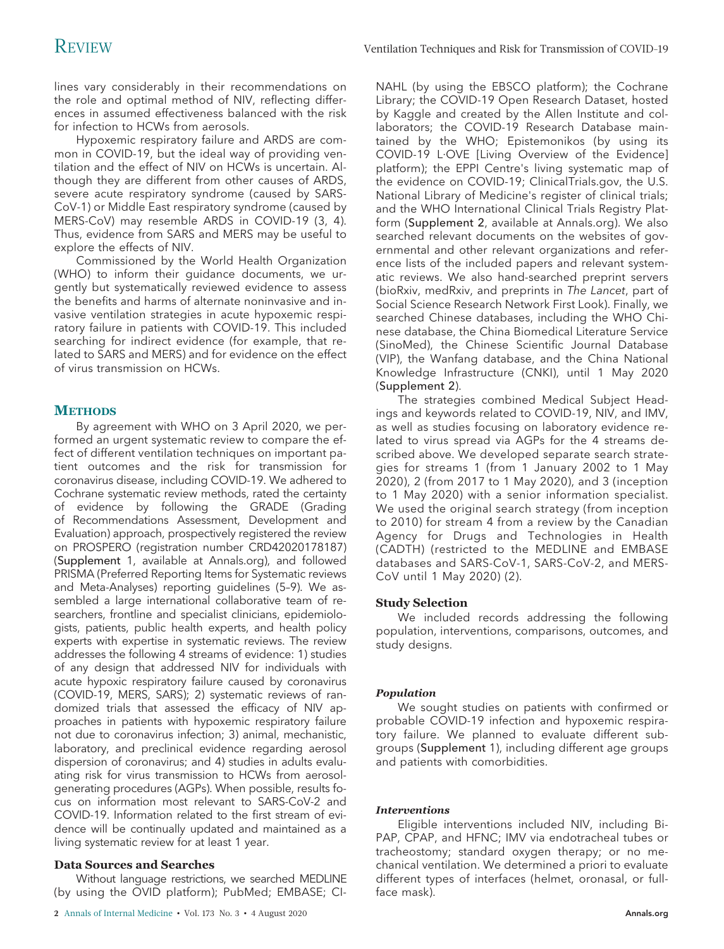lines vary considerably in their recommendations on the role and optimal method of NIV, reflecting differences in assumed effectiveness balanced with the risk for infection to HCWs from aerosols.

Hypoxemic respiratory failure and ARDS are common in COVID-19, but the ideal way of providing ventilation and the effect of NIV on HCWs is uncertain. Although they are different from other causes of ARDS, severe acute respiratory syndrome (caused by SARS-CoV-1) or Middle East respiratory syndrome (caused by MERS-CoV) may resemble ARDS in COVID-19 (3, 4). Thus, evidence from SARS and MERS may be useful to explore the effects of NIV.

Commissioned by the World Health Organization (WHO) to inform their guidance documents, we urgently but systematically reviewed evidence to assess the benefits and harms of alternate noninvasive and invasive ventilation strategies in acute hypoxemic respiratory failure in patients with COVID-19. This included searching for indirect evidence (for example, that related to SARS and MERS) and for evidence on the effect of virus transmission on HCWs.

# **METHODS**

By agreement with WHO on 3 April 2020, we performed an urgent systematic review to compare the effect of different ventilation techniques on important patient outcomes and the risk for transmission for coronavirus disease, including COVID-19. We adhered to Cochrane systematic review methods, rated the certainty of evidence by following the GRADE (Grading of Recommendations Assessment, Development and Evaluation) approach, prospectively registered the review on PROSPERO (registration number CRD42020178187) (Supplement 1, available at Annals.org), and followed PRISMA (Preferred Reporting Items for Systematic reviews and Meta-Analyses) reporting guidelines (5–9). We assembled a large international collaborative team of researchers, frontline and specialist clinicians, epidemiologists, patients, public health experts, and health policy experts with expertise in systematic reviews. The review addresses the following 4 streams of evidence: 1) studies of any design that addressed NIV for individuals with acute hypoxic respiratory failure caused by coronavirus (COVID-19, MERS, SARS); 2) systematic reviews of randomized trials that assessed the efficacy of NIV approaches in patients with hypoxemic respiratory failure not due to coronavirus infection; 3) animal, mechanistic, laboratory, and preclinical evidence regarding aerosol dispersion of coronavirus; and 4) studies in adults evaluating risk for virus transmission to HCWs from aerosolgenerating procedures (AGPs). When possible, results focus on information most relevant to SARS-CoV-2 and COVID-19. Information related to the first stream of evidence will be continually updated and maintained as a living systematic review for at least 1 year.

# **Data Sources and Searches**

Without language restrictions, we searched MEDLINE (by using the OVID platform); PubMed; EMBASE; CI-

NAHL (by using the EBSCO platform); the Cochrane Library; the COVID-19 Open Research Dataset, hosted by Kaggle and created by the Allen Institute and collaborators; the COVID-19 Research Database maintained by the WHO; Epistemonikos (by using its COVID-19 L·OVE [Living Overview of the Evidence] platform); the EPPI Centre's living systematic map of the evidence on COVID-19; ClinicalTrials.gov, the U.S. National Library of Medicine's register of clinical trials; and the WHO International Clinical Trials Registry Platform (Supplement 2, available at Annals.org). We also searched relevant documents on the websites of governmental and other relevant organizations and reference lists of the included papers and relevant systematic reviews. We also hand-searched preprint servers (bioRxiv, medRxiv, and preprints in The Lancet, part of Social Science Research Network First Look). Finally, we searched Chinese databases, including the WHO Chinese database, the China Biomedical Literature Service (SinoMed), the Chinese Scientific Journal Database (VIP), the Wanfang database, and the China National Knowledge Infrastructure (CNKI), until 1 May 2020 (Supplement 2).

The strategies combined Medical Subject Headings and keywords related to COVID-19, NIV, and IMV, as well as studies focusing on laboratory evidence related to virus spread via AGPs for the 4 streams described above. We developed separate search strategies for streams 1 (from 1 January 2002 to 1 May 2020), 2 (from 2017 to 1 May 2020), and 3 (inception to 1 May 2020) with a senior information specialist. We used the original search strategy (from inception to 2010) for stream 4 from a review by the Canadian Agency for Drugs and Technologies in Health (CADTH) (restricted to the MEDLINE and EMBASE databases and SARS-CoV-1, SARS-CoV-2, and MERS-CoV until 1 May 2020) (2).

# **Study Selection**

We included records addressing the following population, interventions, comparisons, outcomes, and study designs.

# *Population*

We sought studies on patients with confirmed or probable COVID-19 infection and hypoxemic respiratory failure. We planned to evaluate different subgroups (Supplement 1), including different age groups and patients with comorbidities.

# *Interventions*

Eligible interventions included NIV, including Bi-PAP, CPAP, and HFNC; IMV via endotracheal tubes or tracheostomy; standard oxygen therapy; or no mechanical ventilation. We determined a priori to evaluate different types of interfaces (helmet, oronasal, or fullface mask).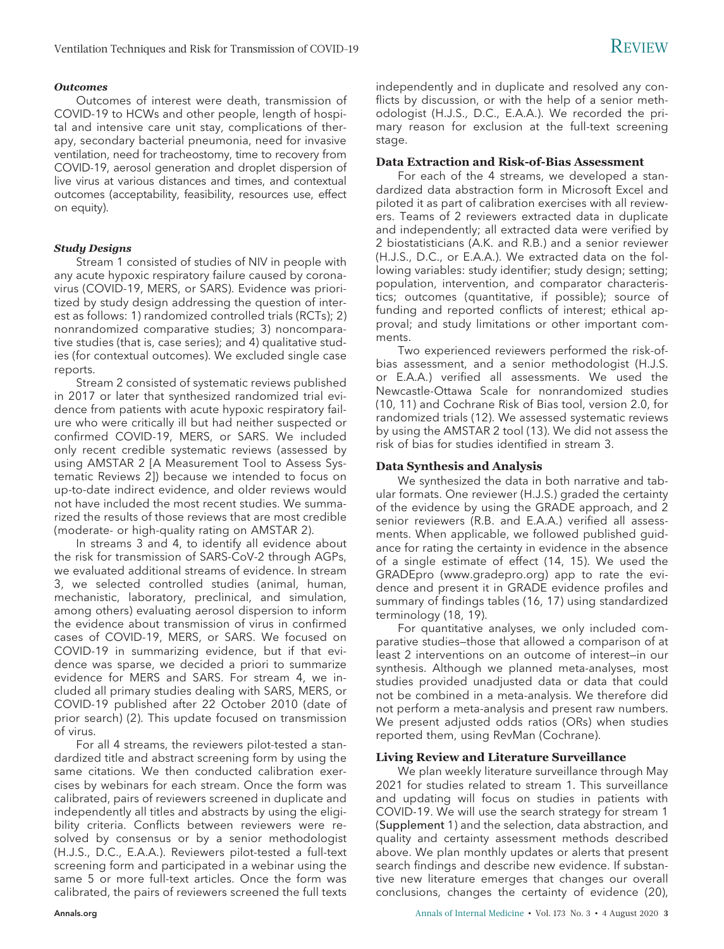# *Outcomes*

Outcomes of interest were death, transmission of COVID-19 to HCWs and other people, length of hospital and intensive care unit stay, complications of therapy, secondary bacterial pneumonia, need for invasive ventilation, need for tracheostomy, time to recovery from COVID-19, aerosol generation and droplet dispersion of live virus at various distances and times, and contextual outcomes (acceptability, feasibility, resources use, effect on equity).

# *Study Designs*

Stream 1 consisted of studies of NIV in people with any acute hypoxic respiratory failure caused by coronavirus (COVID-19, MERS, or SARS). Evidence was prioritized by study design addressing the question of interest as follows: 1) randomized controlled trials (RCTs); 2) nonrandomized comparative studies; 3) noncomparative studies (that is, case series); and 4) qualitative studies (for contextual outcomes). We excluded single case reports.

Stream 2 consisted of systematic reviews published in 2017 or later that synthesized randomized trial evidence from patients with acute hypoxic respiratory failure who were critically ill but had neither suspected or confirmed COVID-19, MERS, or SARS. We included only recent credible systematic reviews (assessed by using AMSTAR 2 [A Measurement Tool to Assess Systematic Reviews 2]) because we intended to focus on up-to-date indirect evidence, and older reviews would not have included the most recent studies. We summarized the results of those reviews that are most credible (moderate- or high-quality rating on AMSTAR 2).

In streams 3 and 4, to identify all evidence about the risk for transmission of SARS-CoV-2 through AGPs, we evaluated additional streams of evidence. In stream 3, we selected controlled studies (animal, human, mechanistic, laboratory, preclinical, and simulation, among others) evaluating aerosol dispersion to inform the evidence about transmission of virus in confirmed cases of COVID-19, MERS, or SARS. We focused on COVID-19 in summarizing evidence, but if that evidence was sparse, we decided a priori to summarize evidence for MERS and SARS. For stream 4, we included all primary studies dealing with SARS, MERS, or COVID-19 published after 22 October 2010 (date of prior search) (2). This update focused on transmission of virus.

For all 4 streams, the reviewers pilot-tested a standardized title and abstract screening form by using the same citations. We then conducted calibration exercises by webinars for each stream. Once the form was calibrated, pairs of reviewers screened in duplicate and independently all titles and abstracts by using the eligibility criteria. Conflicts between reviewers were resolved by consensus or by a senior methodologist (H.J.S., D.C., E.A.A.). Reviewers pilot-tested a full-text screening form and participated in a webinar using the same 5 or more full-text articles. Once the form was calibrated, the pairs of reviewers screened the full texts

independently and in duplicate and resolved any conflicts by discussion, or with the help of a senior methodologist (H.J.S., D.C., E.A.A.). We recorded the primary reason for exclusion at the full-text screening stage.

# **Data Extraction and Risk-of-Bias Assessment**

For each of the 4 streams, we developed a standardized data abstraction form in Microsoft Excel and piloted it as part of calibration exercises with all reviewers. Teams of 2 reviewers extracted data in duplicate and independently; all extracted data were verified by 2 biostatisticians (A.K. and R.B.) and a senior reviewer (H.J.S., D.C., or E.A.A.). We extracted data on the following variables: study identifier; study design; setting; population, intervention, and comparator characteristics; outcomes (quantitative, if possible); source of funding and reported conflicts of interest; ethical approval; and study limitations or other important comments.

Two experienced reviewers performed the risk-ofbias assessment, and a senior methodologist (H.J.S. or E.A.A.) verified all assessments. We used the Newcastle-Ottawa Scale for nonrandomized studies (10, 11) and Cochrane Risk of Bias tool, version 2.0, for randomized trials (12). We assessed systematic reviews by using the AMSTAR 2 tool (13). We did not assess the risk of bias for studies identified in stream 3.

# **Data Synthesis and Analysis**

We synthesized the data in both narrative and tabular formats. One reviewer (H.J.S.) graded the certainty of the evidence by using the GRADE approach, and 2 senior reviewers (R.B. and E.A.A.) verified all assessments. When applicable, we followed published guidance for rating the certainty in evidence in the absence of a single estimate of effect (14, 15). We used the GRADEpro [\(www.gradepro.org\)](http://www.gradepro.org) app to rate the evidence and present it in GRADE evidence profiles and summary of findings tables (16, 17) using standardized terminology (18, 19).

For quantitative analyses, we only included comparative studies—those that allowed a comparison of at least 2 interventions on an outcome of interest—in our synthesis. Although we planned meta-analyses, most studies provided unadjusted data or data that could not be combined in a meta-analysis. We therefore did not perform a meta-analysis and present raw numbers. We present adjusted odds ratios (ORs) when studies reported them, using RevMan (Cochrane).

### **Living Review and Literature Surveillance**

We plan weekly literature surveillance through May 2021 for studies related to stream 1. This surveillance and updating will focus on studies in patients with COVID-19. We will use the search strategy for stream 1 (Supplement 1) and the selection, data abstraction, and quality and certainty assessment methods described above. We plan monthly updates or alerts that present search findings and describe new evidence. If substantive new literature emerges that changes our overall conclusions, changes the certainty of evidence (20),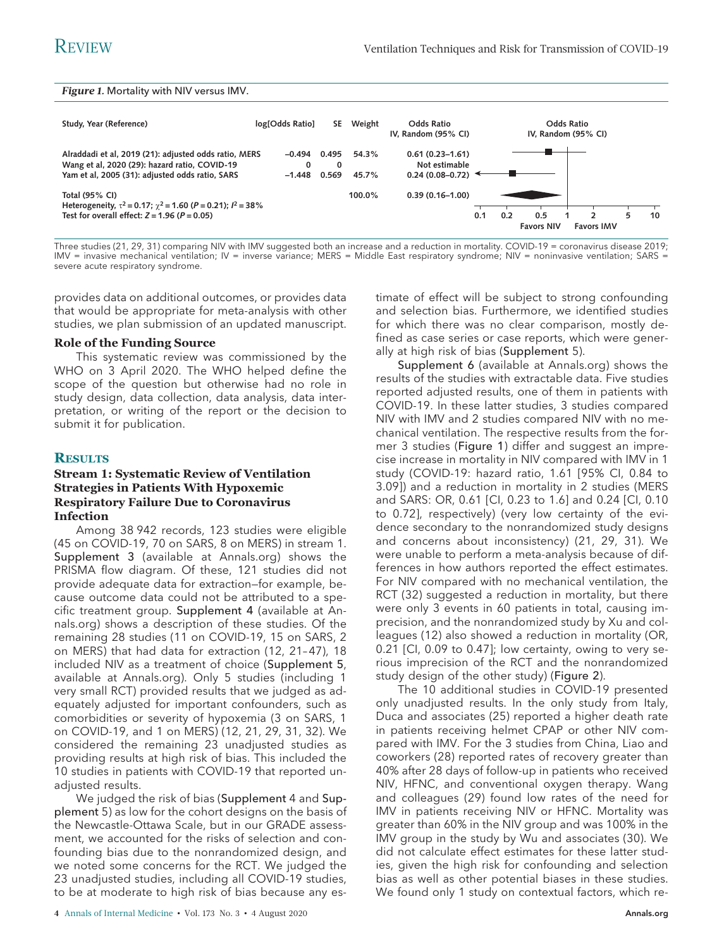### *Figure 1.* Mortality with NIV versus IMV.



Three studies (21, 29, 31) comparing NIV with IMV suggested both an increase and a reduction in mortality. COVID-19 = coronavirus disease 2019; IMV = invasive mechanical ventilation; IV = inverse variance; MERS = Middle East respiratory syndrome; NIV = noninvasive ventilation; SARS = severe acute respiratory syndrome.

provides data on additional outcomes, or provides data that would be appropriate for meta-analysis with other studies, we plan submission of an updated manuscript.

### **Role of the Funding Source**

This systematic review was commissioned by the WHO on 3 April 2020. The WHO helped define the scope of the question but otherwise had no role in study design, data collection, data analysis, data interpretation, or writing of the report or the decision to submit it for publication.

### **RESULTS**

# **Stream 1: Systematic Review of Ventilation Strategies in Patients With Hypoxemic Respiratory Failure Due to Coronavirus Infection**

Among 38 942 records, 123 studies were eligible (45 on COVID-19, 70 on SARS, 8 on MERS) in stream 1. Supplement 3 (available at Annals.org) shows the PRISMA flow diagram. Of these, 121 studies did not provide adequate data for extraction—for example, because outcome data could not be attributed to a specific treatment group. Supplement 4 (available at Annals.org) shows a description of these studies. Of the remaining 28 studies (11 on COVID-19, 15 on SARS, 2 on MERS) that had data for extraction (12, 21-47), 18 included NIV as a treatment of choice (Supplement 5, available at Annals.org). Only 5 studies (including 1 very small RCT) provided results that we judged as adequately adjusted for important confounders, such as comorbidities or severity of hypoxemia (3 on SARS, 1 on COVID-19, and 1 on MERS) (12, 21, 29, 31, 32). We considered the remaining 23 unadjusted studies as providing results at high risk of bias. This included the 10 studies in patients with COVID-19 that reported unadjusted results.

We judged the risk of bias (Supplement 4 and Supplement 5) as low for the cohort designs on the basis of the Newcastle-Ottawa Scale, but in our GRADE assessment, we accounted for the risks of selection and confounding bias due to the nonrandomized design, and we noted some concerns for the RCT. We judged the 23 unadjusted studies, including all COVID-19 studies, to be at moderate to high risk of bias because any estimate of effect will be subject to strong confounding and selection bias. Furthermore, we identified studies for which there was no clear comparison, mostly defined as case series or case reports, which were generally at high risk of bias (Supplement 5).

Supplement 6 (available at Annals.org) shows the results of the studies with extractable data. Five studies reported adjusted results, one of them in patients with COVID-19. In these latter studies, 3 studies compared NIV with IMV and 2 studies compared NIV with no mechanical ventilation. The respective results from the former 3 studies (Figure 1) differ and suggest an imprecise increase in mortality in NIV compared with IMV in 1 study (COVID-19: hazard ratio, 1.61 [95% CI, 0.84 to 3.09]) and a reduction in mortality in 2 studies (MERS and SARS: OR, 0.61 [CI, 0.23 to 1.6] and 0.24 [CI, 0.10 to 0.72], respectively) (very low certainty of the evidence secondary to the nonrandomized study designs and concerns about inconsistency) (21, 29, 31). We were unable to perform a meta-analysis because of differences in how authors reported the effect estimates. For NIV compared with no mechanical ventilation, the RCT (32) suggested a reduction in mortality, but there were only 3 events in 60 patients in total, causing imprecision, and the nonrandomized study by Xu and colleagues (12) also showed a reduction in mortality (OR, 0.21 [CI, 0.09 to 0.47]; low certainty, owing to very serious imprecision of the RCT and the nonrandomized study design of the other study) (Figure 2).

The 10 additional studies in COVID-19 presented only unadjusted results. In the only study from Italy, Duca and associates (25) reported a higher death rate in patients receiving helmet CPAP or other NIV compared with IMV. For the 3 studies from China, Liao and coworkers (28) reported rates of recovery greater than 40% after 28 days of follow-up in patients who received NIV, HFNC, and conventional oxygen therapy. Wang and colleagues (29) found low rates of the need for IMV in patients receiving NIV or HFNC. Mortality was greater than 60% in the NIV group and was 100% in the IMV group in the study by Wu and associates (30). We did not calculate effect estimates for these latter studies, given the high risk for confounding and selection bias as well as other potential biases in these studies. We found only 1 study on contextual factors, which re-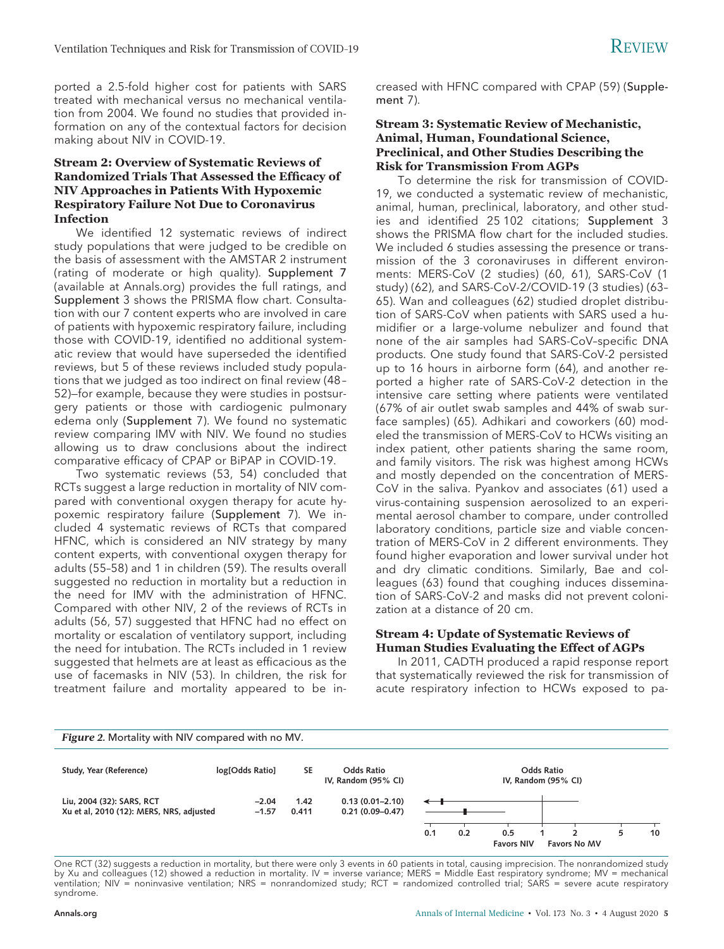ported a 2.5-fold higher cost for patients with SARS treated with mechanical versus no mechanical ventilation from 2004. We found no studies that provided information on any of the contextual factors for decision making about NIV in COVID-19.

# **Stream 2: Overview of Systematic Reviews of Randomized Trials That Assessed the Efficacy of NIV Approaches in Patients With Hypoxemic Respiratory Failure Not Due to Coronavirus Infection**

We identified 12 systematic reviews of indirect study populations that were judged to be credible on the basis of assessment with the AMSTAR 2 instrument (rating of moderate or high quality). Supplement 7 (available at Annals.org) provides the full ratings, and Supplement 3 shows the PRISMA flow chart. Consultation with our 7 content experts who are involved in care of patients with hypoxemic respiratory failure, including those with COVID-19, identified no additional systematic review that would have superseded the identified reviews, but 5 of these reviews included study populations that we judged as too indirect on final review (48 – 52)—for example, because they were studies in postsurgery patients or those with cardiogenic pulmonary edema only (Supplement 7). We found no systematic review comparing IMV with NIV. We found no studies allowing us to draw conclusions about the indirect comparative efficacy of CPAP or BiPAP in COVID-19.

Two systematic reviews (53, 54) concluded that RCTs suggest a large reduction in mortality of NIV compared with conventional oxygen therapy for acute hypoxemic respiratory failure (Supplement 7). We included 4 systematic reviews of RCTs that compared HFNC, which is considered an NIV strategy by many content experts, with conventional oxygen therapy for adults (55–58) and 1 in children (59). The results overall suggested no reduction in mortality but a reduction in the need for IMV with the administration of HFNC. Compared with other NIV, 2 of the reviews of RCTs in adults (56, 57) suggested that HFNC had no effect on mortality or escalation of ventilatory support, including the need for intubation. The RCTs included in 1 review suggested that helmets are at least as efficacious as the use of facemasks in NIV (53). In children, the risk for treatment failure and mortality appeared to be increased with HFNC compared with CPAP (59) (Supplement 7).

# **Stream 3: Systematic Review of Mechanistic, Animal, Human, Foundational Science, Preclinical, and Other Studies Describing the Risk for Transmission From AGPs**

To determine the risk for transmission of COVID-19, we conducted a systematic review of mechanistic, animal, human, preclinical, laboratory, and other studies and identified 25 102 citations; Supplement 3 shows the PRISMA flow chart for the included studies. We included 6 studies assessing the presence or transmission of the 3 coronaviruses in different environments: MERS-CoV (2 studies) (60, 61), SARS-CoV (1 study) (62), and SARS-CoV-2/COVID-19 (3 studies) (63– 65). Wan and colleagues (62) studied droplet distribution of SARS-CoV when patients with SARS used a humidifier or a large-volume nebulizer and found that none of the air samples had SARS-CoV–specific DNA products. One study found that SARS-CoV-2 persisted up to 16 hours in airborne form (64), and another reported a higher rate of SARS-CoV-2 detection in the intensive care setting where patients were ventilated (67% of air outlet swab samples and 44% of swab surface samples) (65). Adhikari and coworkers (60) modeled the transmission of MERS-CoV to HCWs visiting an index patient, other patients sharing the same room, and family visitors. The risk was highest among HCWs and mostly depended on the concentration of MERS-CoV in the saliva. Pyankov and associates (61) used a virus-containing suspension aerosolized to an experimental aerosol chamber to compare, under controlled laboratory conditions, particle size and viable concentration of MERS-CoV in 2 different environments. They found higher evaporation and lower survival under hot and dry climatic conditions. Similarly, Bae and colleagues (63) found that coughing induces dissemination of SARS-CoV-2 and masks did not prevent colonization at a distance of 20 cm.

# **Stream 4: Update of Systematic Reviews of Human Studies Evaluating the Effect of AGPs**

In 2011, CADTH produced a rapid response report that systematically reviewed the risk for transmission of acute respiratory infection to HCWs exposed to pa-



One RCT (32) suggests a reduction in mortality, but there were only 3 events in 60 patients in total, causing imprecision. The nonrandomized study by Xu and colleagues (12) showed a reduction in mortality. IV = inverse variance; MERS = Middle East respiratory syndrome; MV = mechanical ventilation; NIV = noninvasive ventilation; NRS = nonrandomized study; RCT = randomized controlled trial; SARS = severe acute respiratory syndrome.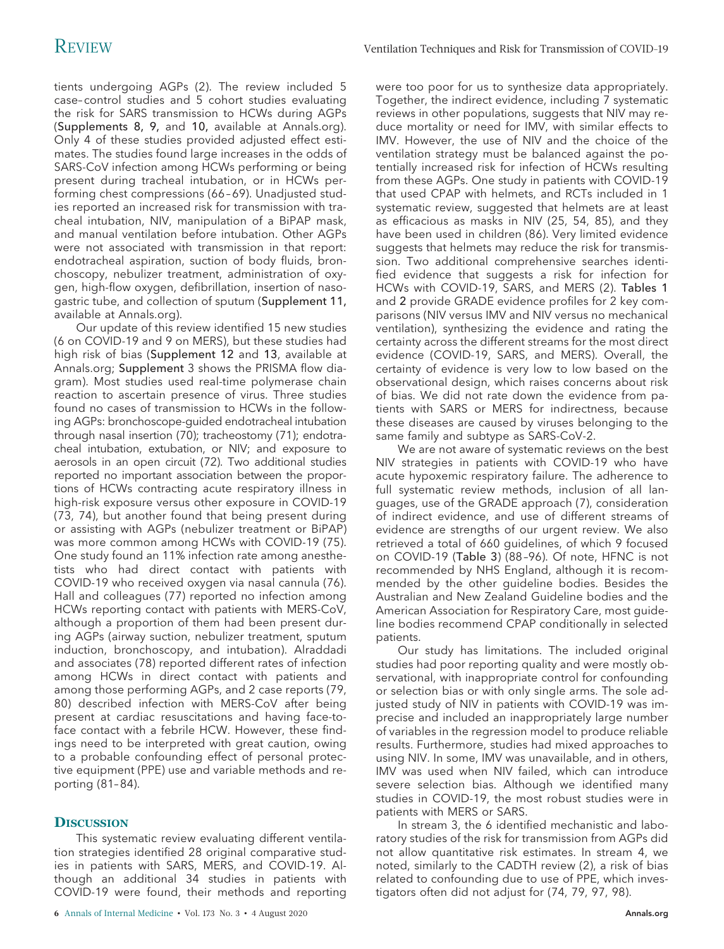tients undergoing AGPs (2). The review included 5 case– control studies and 5 cohort studies evaluating the risk for SARS transmission to HCWs during AGPs (Supplements 8, 9, and 10, available at Annals.org). Only 4 of these studies provided adjusted effect estimates. The studies found large increases in the odds of SARS-CoV infection among HCWs performing or being present during tracheal intubation, or in HCWs performing chest compressions (66 – 69). Unadjusted studies reported an increased risk for transmission with tracheal intubation, NIV, manipulation of a BiPAP mask, and manual ventilation before intubation. Other AGPs were not associated with transmission in that report: endotracheal aspiration, suction of body fluids, bronchoscopy, nebulizer treatment, administration of oxygen, high-flow oxygen, defibrillation, insertion of nasogastric tube, and collection of sputum (Supplement 11, available at Annals.org).

Our update of this review identified 15 new studies (6 on COVID-19 and 9 on MERS), but these studies had high risk of bias (Supplement 12 and 13, available at Annals.org; Supplement 3 shows the PRISMA flow diagram). Most studies used real-time polymerase chain reaction to ascertain presence of virus. Three studies found no cases of transmission to HCWs in the following AGPs: bronchoscope-guided endotracheal intubation through nasal insertion (70); tracheostomy (71); endotracheal intubation, extubation, or NIV; and exposure to aerosols in an open circuit (72). Two additional studies reported no important association between the proportions of HCWs contracting acute respiratory illness in high-risk exposure versus other exposure in COVID-19 (73, 74), but another found that being present during or assisting with AGPs (nebulizer treatment or BiPAP) was more common among HCWs with COVID-19 (75). One study found an 11% infection rate among anesthetists who had direct contact with patients with COVID-19 who received oxygen via nasal cannula (76). Hall and colleagues (77) reported no infection among HCWs reporting contact with patients with MERS-CoV, although a proportion of them had been present during AGPs (airway suction, nebulizer treatment, sputum induction, bronchoscopy, and intubation). Alraddadi and associates (78) reported different rates of infection among HCWs in direct contact with patients and among those performing AGPs, and 2 case reports (79, 80) described infection with MERS-CoV after being present at cardiac resuscitations and having face-toface contact with a febrile HCW. However, these findings need to be interpreted with great caution, owing to a probable confounding effect of personal protective equipment (PPE) use and variable methods and reporting (81– 84).

# **DISCUSSION**

This systematic review evaluating different ventilation strategies identified 28 original comparative studies in patients with SARS, MERS, and COVID-19. Although an additional 34 studies in patients with COVID-19 were found, their methods and reporting were too poor for us to synthesize data appropriately. Together, the indirect evidence, including 7 systematic reviews in other populations, suggests that NIV may reduce mortality or need for IMV, with similar effects to IMV. However, the use of NIV and the choice of the ventilation strategy must be balanced against the potentially increased risk for infection of HCWs resulting from these AGPs. One study in patients with COVID-19 that used CPAP with helmets, and RCTs included in 1 systematic review, suggested that helmets are at least as efficacious as masks in NIV (25, 54, 85), and they have been used in children (86). Very limited evidence suggests that helmets may reduce the risk for transmission. Two additional comprehensive searches identified evidence that suggests a risk for infection for HCWs with COVID-19, SARS, and MERS (2). Tables 1 and 2 provide GRADE evidence profiles for 2 key comparisons (NIV versus IMV and NIV versus no mechanical ventilation), synthesizing the evidence and rating the certainty across the different streams for the most direct evidence (COVID-19, SARS, and MERS). Overall, the certainty of evidence is very low to low based on the observational design, which raises concerns about risk of bias. We did not rate down the evidence from patients with SARS or MERS for indirectness, because these diseases are caused by viruses belonging to the same family and subtype as SARS-CoV-2.

We are not aware of systematic reviews on the best NIV strategies in patients with COVID-19 who have acute hypoxemic respiratory failure. The adherence to full systematic review methods, inclusion of all languages, use of the GRADE approach (7), consideration of indirect evidence, and use of different streams of evidence are strengths of our urgent review. We also retrieved a total of 660 guidelines, of which 9 focused on COVID-19 (Table 3) (88 –96). Of note, HFNC is not recommended by NHS England, although it is recommended by the other guideline bodies. Besides the Australian and New Zealand Guideline bodies and the American Association for Respiratory Care, most guideline bodies recommend CPAP conditionally in selected patients.

Our study has limitations. The included original studies had poor reporting quality and were mostly observational, with inappropriate control for confounding or selection bias or with only single arms. The sole adjusted study of NIV in patients with COVID-19 was imprecise and included an inappropriately large number of variables in the regression model to produce reliable results. Furthermore, studies had mixed approaches to using NIV. In some, IMV was unavailable, and in others, IMV was used when NIV failed, which can introduce severe selection bias. Although we identified many studies in COVID-19, the most robust studies were in patients with MERS or SARS.

In stream 3, the 6 identified mechanistic and laboratory studies of the risk for transmission from AGPs did not allow quantitative risk estimates. In stream 4, we noted, similarly to the CADTH review (2), a risk of bias related to confounding due to use of PPE, which investigators often did not adjust for (74, 79, 97, 98).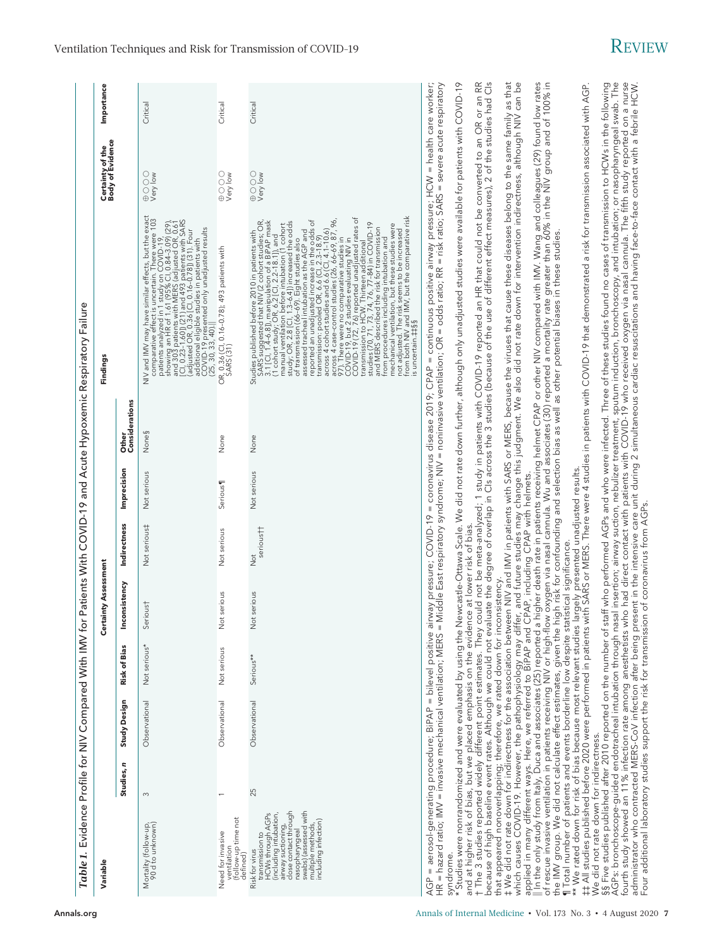Ventilation Techniques and Risk for Transmission of COVID-19  $R$ EVIEW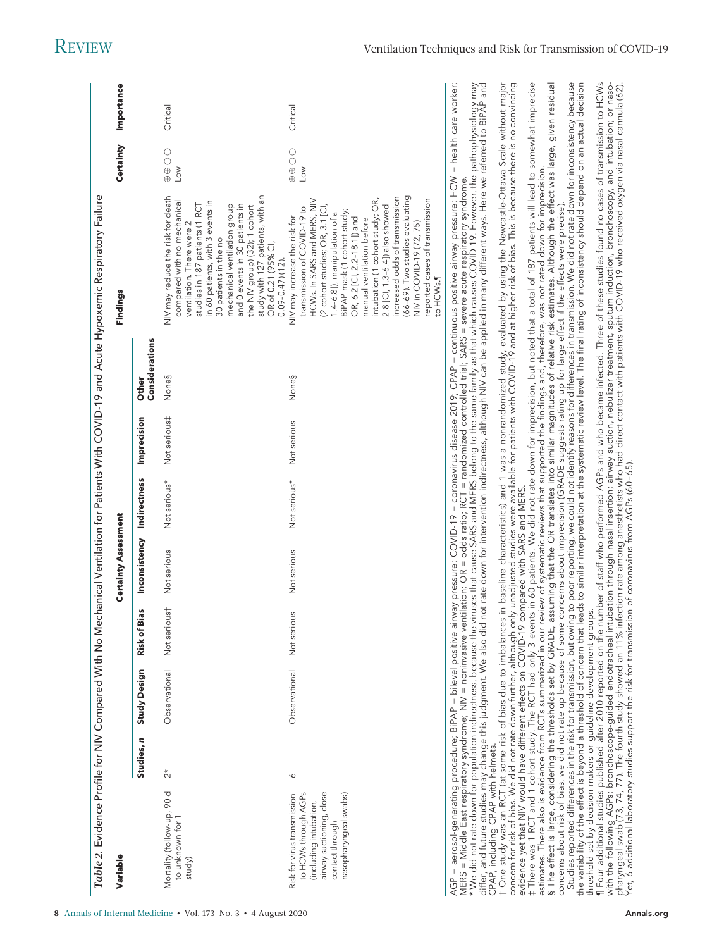| Table 2. Evidence Profile for NIV Compared With No M                                                                                                  |                      |                     |                 |                              |                     |              |                         | echanical Ventilation for Patients With COVID-19 and Acute Hypoxemic Respiratory Failure                                                                                                                                                                                                                                                                                                                                                                                                                                                                                                                                                                                                                                                                                                                                                                                                                                                        |                                            |            |
|-------------------------------------------------------------------------------------------------------------------------------------------------------|----------------------|---------------------|-----------------|------------------------------|---------------------|--------------|-------------------------|-------------------------------------------------------------------------------------------------------------------------------------------------------------------------------------------------------------------------------------------------------------------------------------------------------------------------------------------------------------------------------------------------------------------------------------------------------------------------------------------------------------------------------------------------------------------------------------------------------------------------------------------------------------------------------------------------------------------------------------------------------------------------------------------------------------------------------------------------------------------------------------------------------------------------------------------------|--------------------------------------------|------------|
| Variable                                                                                                                                              |                      |                     |                 | <b>Certainty Assessment</b>  |                     |              |                         | Findings                                                                                                                                                                                                                                                                                                                                                                                                                                                                                                                                                                                                                                                                                                                                                                                                                                                                                                                                        | Certainty                                  | Importance |
|                                                                                                                                                       | Studies, n           | <b>Study Design</b> | Bias<br>Risk of | Inconsistency                | <b>Indirectness</b> | Imprecision  | Considerations<br>Other |                                                                                                                                                                                                                                                                                                                                                                                                                                                                                                                                                                                                                                                                                                                                                                                                                                                                                                                                                 |                                            |            |
| Mortality (follow-up, 90 d<br>to unknown for 1<br>study)                                                                                              | $\stackrel{*}{\sim}$ | Observational       | Not serious†    | Not serious                  | Not serious*        | Not serious‡ | None§                   | NIV may reduce the risk for death<br>study with 127 patients, with an<br>compared with no mechanical<br>in 60 patients, with 3 events in<br>mechanical ventilation group<br>and 0 events in 30 patients in<br>studies in 187 patients (1 RCT<br>the NIV group) (32); 1 cohort<br>ventilation. There were 2<br>30 patients in the no<br>OR of 0.21 (95% CI,<br>$0.09 - 0.47$ (12)                                                                                                                                                                                                                                                                                                                                                                                                                                                                                                                                                                | $\circ$<br>$\overline{O} \oplus$<br>$\leq$ | Critical   |
| to HCWs through AGPs<br>airway suctioning, close<br>nasopharyngeal swabs)<br>Risk for virus transmission<br>(including intubation)<br>contact through | ◡                    | Observational       | Not serious     | Not serious                  | Not serious*        | Not serious  | None§                   | (66-69). Two studies evaluating<br>increased odds of transmission<br>intubation (1 cohort study; OR,<br>reported cases of transmission<br>HCWs. In SARS and MERS, NIV<br>(2 cohort studies; OR, 3.1 [Cl,<br>2.8 [Cl, 1.3-6.4]) also showed<br>transmission of COVID-19 to<br>BiPAP mask (1 cohort study;<br>1.4-6.8]), manipulation of a<br>NIV may increase the risk for<br>OR, 6.2 [CI, 2.2-18.1]) and<br>manual ventilation before<br>NIV in COVID-19 (72, 75)<br>to HCWs.¶                                                                                                                                                                                                                                                                                                                                                                                                                                                                  | $\bigcirc$<br>Low                          | Critical   |
| evidence yet that NIV would have different effects on COVID-19                                                                                        |                      |                     |                 | compared with SARS and MERS. |                     |              |                         | t One study was an RCT (at some risk of bias due to imbalances in baseline characteristics) and 1 was a nonrandomized study, evaluated by using the Newcastle-Ottawa Scale without major<br>concern for risk of bias. We did not<br>t There was 1 RCT and 1 cohort study. The RCT had only 3 events in 60 patients. We did not rate down for imprecision, but noted that a total of 187 patients will lead to somewhat imprecise<br>estimates. There also is evidence<br>AGP = aerosol-generating procedure; BiPAP = bilevel positive airway pressure; COVID-19 = coronavirus disease 2019; CPAP = continuous positive airway pressure; HCW = health care worker;<br>MERS = Middle East respiratory syndro<br>differ, and future studies may change this judgment. We also did not rate down for intervention indirectness, although NIV can be applied in many different ways. Here we referred to BIPAP and<br>CPAP, including CPAP with helm |                                            |            |
| the variability of the effect is beyond a threshold of concern that                                                                                   |                      |                     |                 |                              |                     |              |                         | threshold set by decision makers or guideline development groups.<br>¶ Four additional studies published after 2010 reported on the number of staff who performed AGPs and who became infected. Three of these studies found no c<br>Studies reported differences in the risk for transmission, but owing to poor reporting, we could not identify reasons for differences in transmission. We did not rate down for inconsistency because<br>he variability of the ef                                                                                                                                                                                                                                                                                                                                                                                                                                                                          |                                            |            |

with the following AGPs: bronchoscope-guided endotracheal intubation through nasal insertion; airway suction, nebulizer treatment, sputum induction, bronchoscopy, and intubation; or nasopharyngeal swab (73, 74, 77). The fourth study showed an 11% infection rate among anesthetists who had direct contact with patients with COVID-19 who received oxygen via nasal cannula (62).

Yet, 6 additional laboratory studies support the risk for transmission of coronavirus from AGPs (60 – 65).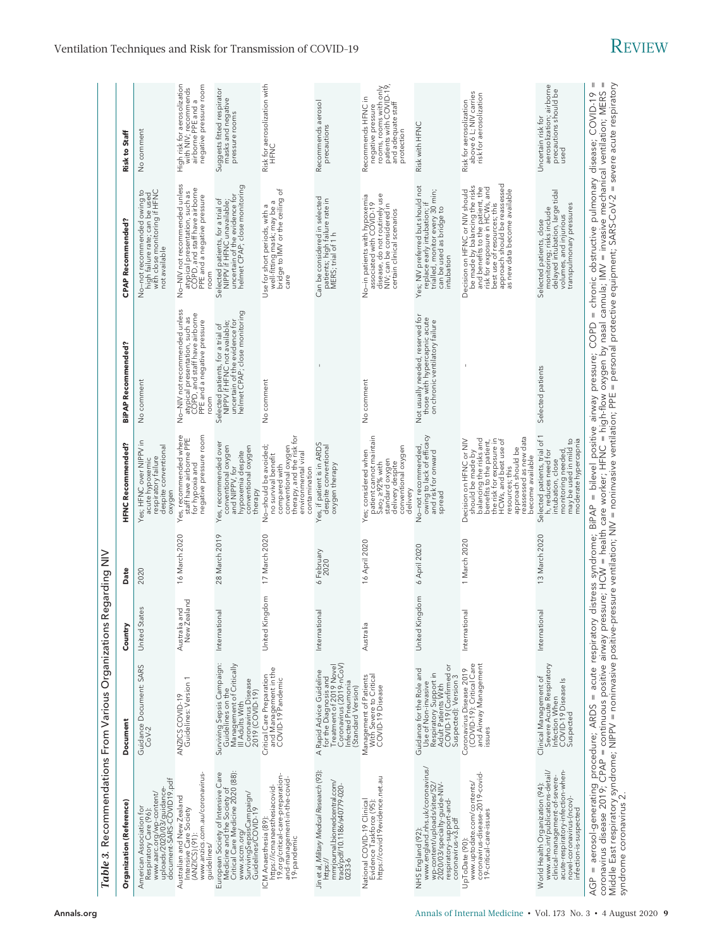| Table 3. Recommendations From Various Organizations                                                                                                                                                                                                                                                                                                                                                                   |                                                                                                                                                      |                                 | Regarding NIV              |                                                                                                                                                                                                                                                 |                                                                                                                                         |                                                                                                                                                                                                                                        |                                                                                                                                  |
|-----------------------------------------------------------------------------------------------------------------------------------------------------------------------------------------------------------------------------------------------------------------------------------------------------------------------------------------------------------------------------------------------------------------------|------------------------------------------------------------------------------------------------------------------------------------------------------|---------------------------------|----------------------------|-------------------------------------------------------------------------------------------------------------------------------------------------------------------------------------------------------------------------------------------------|-----------------------------------------------------------------------------------------------------------------------------------------|----------------------------------------------------------------------------------------------------------------------------------------------------------------------------------------------------------------------------------------|----------------------------------------------------------------------------------------------------------------------------------|
| Organization (Reference)                                                                                                                                                                                                                                                                                                                                                                                              | Document                                                                                                                                             | Countr                          | Date                       | HFNC Recommended?                                                                                                                                                                                                                               | BiPAP Recommended?                                                                                                                      | <b>CPAP Recommended?</b>                                                                                                                                                                                                               | Risk to Staff                                                                                                                    |
| document-SARS-COVID19.pdf<br>www.aarc.org/wp-content/<br>uploads/2020/03/guidance-<br>American Association for<br>Respiratory Care (96):                                                                                                                                                                                                                                                                              | Guidance Document: SARS<br>CoV-2                                                                                                                     | States<br>United                | 2020                       | Yes; HFNC over NIPPV in<br>despite conventional<br>respiratory failure<br>acute hypoxemic<br>oxygen                                                                                                                                             | No comment                                                                                                                              | No–not recommended owing to<br>high failure rate; can be used<br>with close monitoring if HFNC<br>not available                                                                                                                        | No comment                                                                                                                       |
| www.anzics.com.au/coronavirus<br>Australian and New Zealand<br>Intensive Care Society<br>$(ANZICS)(91)$ :<br>guidelines/                                                                                                                                                                                                                                                                                              | ANZICS COVID-19<br>Guidelines: Version 1                                                                                                             | New Zealand<br>and<br>Australia | 16 March 2020              | Yes, recommended where<br>staff have airborne PPE<br>negative pressure room<br>for hypoxia and                                                                                                                                                  | No-NIV not recommended unless<br>atypical presentation, such as<br>COPD, and staff have airborne<br>PPE and a negative pressure<br>room | No-NIV not recommended unless<br>atypical presentation, such as<br>COPD, and staff have airborne<br>PPE and a negative pressure<br>room                                                                                                | High risk for aerosolization<br>with NIV; recommends<br>airborne PPE and a<br>negative pressure room                             |
| Critical Care Medicine 2020 (88):<br>European Society of Intensive Care<br>Medicine and the Society of<br>SurvivingSepsisCampaign/<br>Guideline <i>s/</i> COVID-19<br>www.sccm.org/                                                                                                                                                                                                                                   | Surviving Sepsis Campaign:<br>Guidelines on the<br>Management of Critically<br>Coronavirus Disease<br>2019 (COVID-19)<br>III Adults With             | ional<br>Internat               | 28 March 2019              | Yes, recommended over<br>conventional oxygen<br>and NIPPV, for<br>conventional oxygen<br>hypoxemia despite<br>therapy                                                                                                                           | helmet CPAP; close monitoring<br>Selected patients, for a trial of<br>NIPPV if HFNC not available;<br>uncertain of the evidence for     | helmet CPAP; close monitoring<br>Selected patients, for a trial of<br>NIPPV if HFNC unavailable;<br>uncertain of the evidence for                                                                                                      | Suggests fitted respirator<br>masks and negative<br>pressure rooms                                                               |
| 19. org/critical-care-preparation<br>and-management-in-the-covid-<br>https://icmanaesthesiacovid-<br>ICM Anaesthesia (89)<br>19-pandemic                                                                                                                                                                                                                                                                              | and Management in the<br>COVID-19 Pandemic<br>Critical Care Preparation                                                                              | Kingdom<br>United               | 17 March 2020              | conventional oxygen<br>therapy, and the risk for<br>No-should be avoided;<br>environmental viral<br>no survival benefit<br>compared with<br>contamination                                                                                       | No comment                                                                                                                              | Use for short periods, with a<br>well-fitting mask; may be a<br>bridge to IMV or the ceiling of<br>care                                                                                                                                | Risk for aerosolization with<br>D<br>N<br>H<br>E                                                                                 |
| Jin et al, Military Medical Research (93):<br>mmrjournal.biomedcentral.com/<br>track/pdf/10.1186/s40779-020-<br>https://<br>$0233-6$                                                                                                                                                                                                                                                                                  | Coronavirus (2019-nCoV)<br>for the Diagnosis and<br>Treatment of 2019 Novel<br>A Rapid Advice Guideline<br>Infected Pneumonia<br>(Standard Version)  | ional<br>Internat               | February<br>2020<br>$\sim$ | Yes, if patient is in ARDS<br>despite conventional<br>oxygen therapy                                                                                                                                                                            | $\mathbf{I}$                                                                                                                            | Can be considered in selected<br>patients; high failure rate in<br>MERS; trial of 1 h                                                                                                                                                  | Recommends aerosol<br>precautions                                                                                                |
| https://covid19evidence.net.au<br>National COVID-19 Clinical<br>Evidence Taskforce (95):                                                                                                                                                                                                                                                                                                                              | Management of Patients<br>With Severe to Critical<br>COVID-19 Disease                                                                                | Australia                       | 16 April 2020              | patient cannot maintain<br>Sao <sub>2,</sub> ≥92% with<br>delivery despite<br>conventional oxygen<br>Yes; considered when<br>standard oxygen<br>delivery                                                                                        | No comment                                                                                                                              | disease, do not routinely use<br>No-in patients with hypoxemia<br>associated with COVID-19<br>NIV; can be considered in<br>certain clinical scenarios                                                                                  | rooms, rooms with only<br>patients with COVID-19,<br>and adequate staff<br>Recommends HFNC in<br>negative pressure<br>protection |
| www.england.nhs.uk/coronavirus/<br>wp-content/uploads/sites/52/<br>2020/03/specialty-guide-NIV-<br>respiratory-support-and-<br>coronavirus-v3.pdf<br>NHS England (92):                                                                                                                                                                                                                                                | Adult Patiénts With<br>COVID-19 (Confirmed or<br>Suspected): Version 3<br>Guidance for the Role and<br>Respiratory Support in<br>Use of Non-invasive | Kingdom<br>United               | 6 April 2020               | owing to lack of efficacy<br>and risk for onward<br>No-not recommended<br>spread                                                                                                                                                                | Not usually needed, reserved for<br>those with hypercapnic acute<br>on chronic ventilatory failure                                      | Yes; NIV preferred but should not<br>trialled, monitor every 30 min;<br>replace early intubation; if<br>can be used as bridge to<br>intubation                                                                                         | Risk with HFNC                                                                                                                   |
| www.uptodate.com/contents/<br>coronavirus-disease-2019-covid-<br>19-critical-care-issues<br>UpToDate (90):                                                                                                                                                                                                                                                                                                            | Coronavirus Disease 2019<br>(COVID-19): Critical Care<br>and Airway Management<br>issues                                                             | ional<br>Internat               | 1 March 2020               | reassessed as new data<br>should be made by<br>balancing the risks and<br>benefits to the patient,<br>the risk for exposure in<br>HCWs, and best use of<br>Decision on HFNC or NIV<br>approach should be<br>become available<br>resources; this |                                                                                                                                         | approach should be reassessed<br>be made by balancing the risks<br>and benefits to the patient, the<br>risk for exposure in HCWs, and<br>Decision on HFNC or NIV should<br>as new data become available<br>best use of resources; this | Risk for aerosolization<br>above 6 L; NIV carries<br>risk for aerosolization                                                     |
| acute-respiratory-infection-when-<br>World Health Organization (94):<br>www.who.int/publications-detail/<br>clinical-management-of-severe-<br>novel-coronavirus-(ncov)-<br>infection-is-suspected                                                                                                                                                                                                                     | Severe Acute Respiratory<br>Clinical Management of<br>Infection When<br>COVID-19 Disease Is<br>Suspected                                             | ional<br>Internat               | 13 March 2020              | Selected patients, trial of 1<br>h, reduces need for<br>intubation, close<br>may be used in mild to<br>moderate hypercapnia<br>monitoring needed                                                                                                | Selected patients                                                                                                                       | monitoring; risks include<br>delayed intubation, large tidal<br>transpulmonary pressures<br>volumes, and injurious<br>Selected patients, close                                                                                         | aerosolization; airborne<br>precautions should be<br>Uncertain risk for<br>used                                                  |
| coronavirus disease 2019; CPAP = continuous positive airway pressure; HCW = health care worker; HFNC = high-flow oxygen by nasal cannula; IMV = invasive mechanical ventilation; MERS<br>AGP = aerosol-generating procedure; ARDS = acute respiratory distress syndrome; BiPAP = bilevel positive airway pressure; COPD<br>Middle East respiratory syndrome; NIPPV = noninvasive positive-<br>syndrome coronavirus 2. |                                                                                                                                                      |                                 |                            |                                                                                                                                                                                                                                                 | pressure ventilation; NIV = noninvasive ventilation; PPE = personal protective equipment; SARS-CoV-2 = severe acute respiratory         | = chronic obstructive pulmonary disease; COVID-19                                                                                                                                                                                      | $\mathop{  }$<br>$\parallel$                                                                                                     |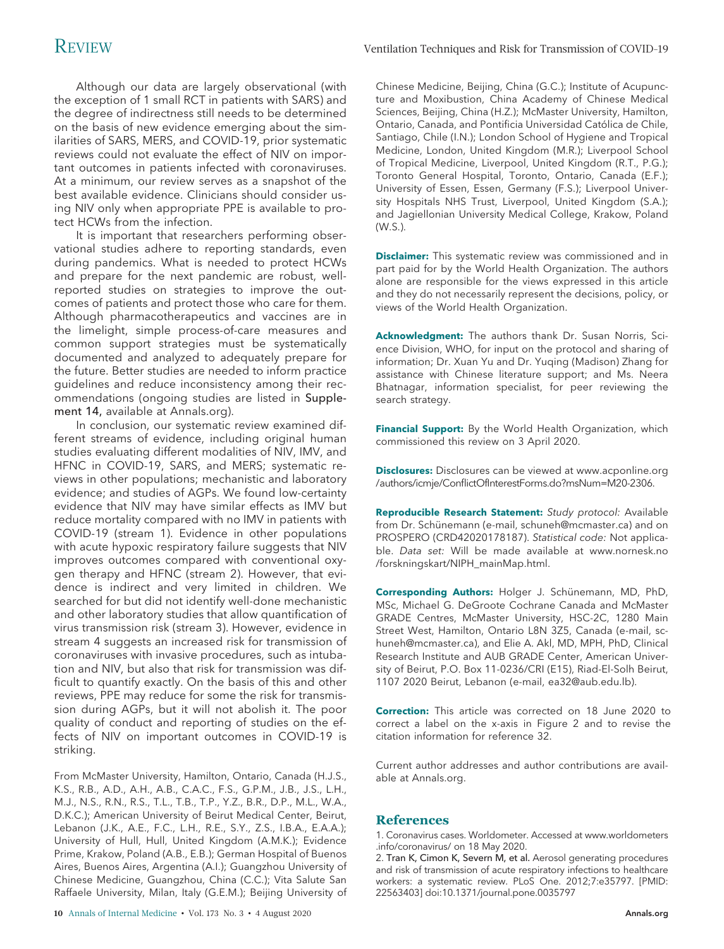Although our data are largely observational (with the exception of 1 small RCT in patients with SARS) and the degree of indirectness still needs to be determined on the basis of new evidence emerging about the similarities of SARS, MERS, and COVID-19, prior systematic reviews could not evaluate the effect of NIV on important outcomes in patients infected with coronaviruses. At a minimum, our review serves as a snapshot of the best available evidence. Clinicians should consider using NIV only when appropriate PPE is available to protect HCWs from the infection.

It is important that researchers performing observational studies adhere to reporting standards, even during pandemics. What is needed to protect HCWs and prepare for the next pandemic are robust, wellreported studies on strategies to improve the outcomes of patients and protect those who care for them. Although pharmacotherapeutics and vaccines are in the limelight, simple process-of-care measures and common support strategies must be systematically documented and analyzed to adequately prepare for the future. Better studies are needed to inform practice guidelines and reduce inconsistency among their recommendations (ongoing studies are listed in Supplement 14, available at Annals.org).

In conclusion, our systematic review examined different streams of evidence, including original human studies evaluating different modalities of NIV, IMV, and HFNC in COVID-19, SARS, and MERS; systematic reviews in other populations; mechanistic and laboratory evidence; and studies of AGPs. We found low-certainty evidence that NIV may have similar effects as IMV but reduce mortality compared with no IMV in patients with COVID-19 (stream 1). Evidence in other populations with acute hypoxic respiratory failure suggests that NIV improves outcomes compared with conventional oxygen therapy and HFNC (stream 2). However, that evidence is indirect and very limited in children. We searched for but did not identify well-done mechanistic and other laboratory studies that allow quantification of virus transmission risk (stream 3). However, evidence in stream 4 suggests an increased risk for transmission of coronaviruses with invasive procedures, such as intubation and NIV, but also that risk for transmission was difficult to quantify exactly. On the basis of this and other reviews, PPE may reduce for some the risk for transmission during AGPs, but it will not abolish it. The poor quality of conduct and reporting of studies on the effects of NIV on important outcomes in COVID-19 is striking.

From McMaster University, Hamilton, Ontario, Canada (H.J.S., K.S., R.B., A.D., A.H., A.B., C.A.C., F.S., G.P.M., J.B., J.S., L.H., M.J., N.S., R.N., R.S., T.L., T.B., T.P., Y.Z., B.R., D.P., M.L., W.A., D.K.C.); American University of Beirut Medical Center, Beirut, Lebanon (J.K., A.E., F.C., L.H., R.E., S.Y., Z.S., I.B.A., E.A.A.); University of Hull, Hull, United Kingdom (A.M.K.); Evidence Prime, Krakow, Poland (A.B., E.B.); German Hospital of Buenos Aires, Buenos Aires, Argentina (A.I.); Guangzhou University of Chinese Medicine, Guangzhou, China (C.C.); Vita Salute San Raffaele University, Milan, Italy (G.E.M.); Beijing University of

**10** Annals of Internal Medicine • Vol. 173 No. 3 • 4 August 2020 [Annals.org](http://www.annals.org)

Chinese Medicine, Beijing, China (G.C.); Institute of Acupuncture and Moxibustion, China Academy of Chinese Medical Sciences, Beijing, China (H.Z.); McMaster University, Hamilton, Ontario, Canada, and Pontificia Universidad Católica de Chile, Santiago, Chile (I.N.); London School of Hygiene and Tropical Medicine, London, United Kingdom (M.R.); Liverpool School of Tropical Medicine, Liverpool, United Kingdom (R.T., P.G.); Toronto General Hospital, Toronto, Ontario, Canada (E.F.); University of Essen, Essen, Germany (F.S.); Liverpool University Hospitals NHS Trust, Liverpool, United Kingdom (S.A.); and Jagiellonian University Medical College, Krakow, Poland (W.S.).

**Disclaimer:** This systematic review was commissioned and in part paid for by the World Health Organization. The authors alone are responsible for the views expressed in this article and they do not necessarily represent the decisions, policy, or views of the World Health Organization.

**Acknowledgment:** The authors thank Dr. Susan Norris, Science Division, WHO, for input on the protocol and sharing of information; Dr. Xuan Yu and Dr. Yuqing (Madison) Zhang for assistance with Chinese literature support; and Ms. Neera Bhatnagar, information specialist, for peer reviewing the search strategy.

**Financial Support:** By the World Health Organization, which commissioned this review on 3 April 2020.

**Disclosures:** Disclosures can be viewed at [www.acponline.org](http://www.acponline.org/authors/icmje/ConflictOfInterestForms.do?msNum=M20-2306) [/authors/icmje/ConflictOfInterestForms.do?msNum=M20-2306.](http://www.acponline.org/authors/icmje/ConflictOfInterestForms.do?msNum=M20-2306)

**Reproducible Research Statement:** Study protocol: Available from Dr. Schünemann (e-mail, [schuneh@mcmaster.ca\)](mailto:schuneh@mcmaster.ca) and on PROSPERO (CRD42020178187). Statistical code: Not applicable. Data set: Will be made available at [www.nornesk.no](http://www.nornesk.no/forskningskart/NIPH_mainMap.html) [/forskningskart/NIPH\\_mainMap.html.](http://www.nornesk.no/forskningskart/NIPH_mainMap.html)

Corresponding Authors: Holger J. Schünemann, MD, PhD, MSc, Michael G. DeGroote Cochrane Canada and McMaster GRADE Centres, McMaster University, HSC-2C, 1280 Main Street West, Hamilton, Ontario L8N 3Z5, Canada (e-mail, [sc](mailto:schuneh@mcmaster.ca)[huneh@mcmaster.ca\)](mailto:schuneh@mcmaster.ca), and Elie A. Akl, MD, MPH, PhD, Clinical Research Institute and AUB GRADE Center, American University of Beirut, P.O. Box 11-0236/CRI (E15), Riad-El-Solh Beirut, 1107 2020 Beirut, Lebanon (e-mail, [ea32@aub.edu.lb\)](mailto:ea32@aub.edu.lb).

**Correction:** This article was corrected on 18 June 2020 to correct a label on the x-axis in Figure 2 and to revise the citation information for reference 32.

Current author addresses and author contributions are available at [Annals.org.](http://www.annals.org)

# **References**

1. Coronavirus cases. Worldometer. Accessed at [www.worldometers](http://www.worldometers.info/coronavirus/) [.info/coronavirus/](http://www.worldometers.info/coronavirus/) on 18 May 2020.

2. Tran K, Cimon K, Severn M, et al. Aerosol generating procedures and risk of transmission of acute respiratory infections to healthcare workers: a systematic review. PLoS One. 2012;7:e35797. [PMID: 22563403] doi:10.1371/journal.pone.0035797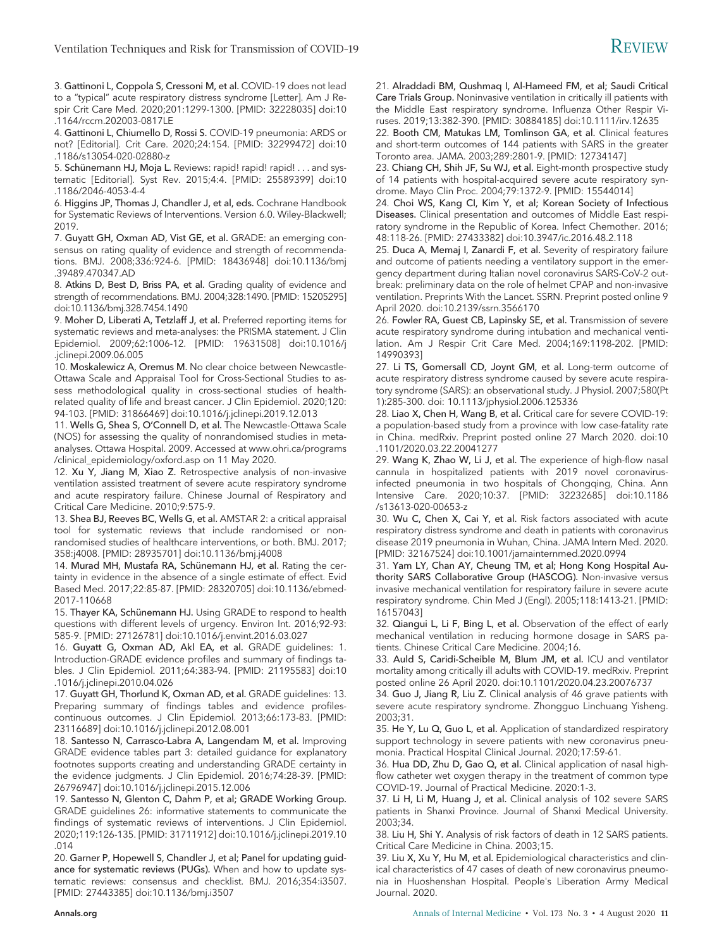3. Gattinoni L, Coppola S, Cressoni M, et al. COVID-19 does not lead to a "typical" acute respiratory distress syndrome [Letter]. Am J Respir Crit Care Med. 2020;201:1299-1300. [PMID: 32228035] doi:10 .1164/rccm.202003-0817LE

4. Gattinoni L, Chiumello D, Rossi S. COVID-19 pneumonia: ARDS or not? [Editorial]. Crit Care. 2020;24:154. [PMID: 32299472] doi:10 .1186/s13054-020-02880-z

5. Schünemann HJ, Moja L. Reviews: rapid! rapid! rapid! . . . and systematic [Editorial]. Syst Rev. 2015;4:4. [PMID: 25589399] doi:10 .1186/2046-4053-4-4

6. Higgins JP, Thomas J, Chandler J, et al, eds. Cochrane Handbook for Systematic Reviews of Interventions. Version 6.0. Wiley-Blackwell; 2019.

7. Guyatt GH, Oxman AD, Vist GE, et al. GRADE: an emerging consensus on rating quality of evidence and strength of recommendations. BMJ. 2008;336:924-6. [PMID: 18436948] doi:10.1136/bmj .39489.470347.AD

8. Atkins D, Best D, Briss PA, et al. Grading quality of evidence and strength of recommendations. BMJ. 2004;328:1490. [PMID: 15205295] doi:10.1136/bmj.328.7454.1490

9. Moher D, Liberati A, Tetzlaff J, et al. Preferred reporting items for systematic reviews and meta-analyses: the PRISMA statement. J Clin Epidemiol. 2009;62:1006-12. [PMID: 19631508] doi:10.1016/j .jclinepi.2009.06.005

10. Moskalewicz A, Oremus M. No clear choice between Newcastle-Ottawa Scale and Appraisal Tool for Cross-Sectional Studies to assess methodological quality in cross-sectional studies of healthrelated quality of life and breast cancer. J Clin Epidemiol. 2020;120: 94-103. [PMID: 31866469] doi:10.1016/j.jclinepi.2019.12.013

11. Wells G, Shea S, O'Connell D, et al. The Newcastle-Ottawa Scale (NOS) for assessing the quality of nonrandomised studies in metaanalyses. Ottawa Hospital. 2009. Accessed at [www.ohri.ca/programs](http://www.ohri.ca/programs/clinical_epidemiology/oxford.asp) [/clinical\\_epidemiology/oxford.asp](http://www.ohri.ca/programs/clinical_epidemiology/oxford.asp) on 11 May 2020.

12. Xu Y, Jiang M, Xiao Z. Retrospective analysis of non-invasive ventilation assisted treatment of severe acute respiratory syndrome and acute respiratory failure. Chinese Journal of Respiratory and Critical Care Medicine. 2010;9:575-9.

13. Shea BJ, Reeves BC, Wells G, et al. AMSTAR 2: a critical appraisal tool for systematic reviews that include randomised or nonrandomised studies of healthcare interventions, or both. BMJ. 2017; 358:j4008. [PMID: 28935701] doi:10.1136/bmj.j4008

14. Murad MH, Mustafa RA, Schünemann HJ, et al. Rating the certainty in evidence in the absence of a single estimate of effect. Evid Based Med. 2017;22:85-87. [PMID: 28320705] doi:10.1136/ebmed-2017-110668

15. Thayer KA, Schünemann HJ. Using GRADE to respond to health questions with different levels of urgency. Environ Int. 2016;92-93: 585-9. [PMID: 27126781] doi:10.1016/j.envint.2016.03.027

16. Guyatt G, Oxman AD, Akl EA, et al. GRADE guidelines: 1. Introduction-GRADE evidence profiles and summary of findings tables. J Clin Epidemiol. 2011;64:383-94. [PMID: 21195583] doi:10 .1016/j.jclinepi.2010.04.026

17. Guyatt GH, Thorlund K, Oxman AD, et al. GRADE guidelines: 13. Preparing summary of findings tables and evidence profilescontinuous outcomes. J Clin Epidemiol. 2013;66:173-83. [PMID: 23116689] doi:10.1016/j.jclinepi.2012.08.001

18. Santesso N, Carrasco-Labra A, Langendam M, et al. Improving GRADE evidence tables part 3: detailed guidance for explanatory footnotes supports creating and understanding GRADE certainty in the evidence judgments. J Clin Epidemiol. 2016;74:28-39. [PMID: 26796947] doi:10.1016/j.jclinepi.2015.12.006

19. Santesso N, Glenton C, Dahm P, et al; GRADE Working Group. GRADE guidelines 26: informative statements to communicate the findings of systematic reviews of interventions. J Clin Epidemiol. 2020;119:126-135. [PMID: 31711912] doi:10.1016/j.jclinepi.2019.10 .014

20. Garner P, Hopewell S, Chandler J, et al; Panel for updating guidance for systematic reviews (PUGs). When and how to update systematic reviews: consensus and checklist. BMJ. 2016;354:i3507. [PMID: 27443385] doi:10.1136/bmj.i3507

21. Alraddadi BM, Qushmaq I, Al-Hameed FM, et al; Saudi Critical Care Trials Group. Noninvasive ventilation in critically ill patients with the Middle East respiratory syndrome. Influenza Other Respir Viruses. 2019;13:382-390. [PMID: 30884185] doi:10.1111/irv.12635

22. Booth CM, Matukas LM, Tomlinson GA, et al. Clinical features and short-term outcomes of 144 patients with SARS in the greater Toronto area. JAMA. 2003;289:2801-9. [PMID: 12734147]

23. Chiang CH, Shih JF, Su WJ, et al. Eight-month prospective study of 14 patients with hospital-acquired severe acute respiratory syndrome. Mayo Clin Proc. 2004;79:1372-9. [PMID: 15544014]

24. Choi WS, Kang CI, Kim Y, et al; Korean Society of Infectious Diseases. Clinical presentation and outcomes of Middle East respiratory syndrome in the Republic of Korea. Infect Chemother. 2016; 48:118-26. [PMID: 27433382] doi:10.3947/ic.2016.48.2.118

25. Duca A, Memaj I, Zanardi F, et al. Severity of respiratory failure and outcome of patients needing a ventilatory support in the emergency department during Italian novel coronavirus SARS-CoV-2 outbreak: preliminary data on the role of helmet CPAP and non-invasive ventilation. Preprints With the Lancet. SSRN. Preprint posted online 9 April 2020. doi:10.2139/ssrn.3566170

26. Fowler RA, Guest CB, Lapinsky SE, et al. Transmission of severe acute respiratory syndrome during intubation and mechanical ventilation. Am J Respir Crit Care Med. 2004;169:1198-202. [PMID: 14990393]

27. Li TS, Gomersall CD, Joynt GM, et al. Long-term outcome of acute respiratory distress syndrome caused by severe acute respiratory syndrome (SARS): an observational study. J Physiol. 2007;580(Pt 1):285-300. doi: 10.1113/jphysiol.2006.125336

28. Liao X, Chen H, Wang B, et al. Critical care for severe COVID-19: a population-based study from a province with low case-fatality rate in China. medRxiv. Preprint posted online 27 March 2020. doi:10 .1101/2020.03.22.20041277

29. Wang K, Zhao W, Li J, et al. The experience of high-flow nasal cannula in hospitalized patients with 2019 novel coronavirusinfected pneumonia in two hospitals of Chongqing, China. Ann Intensive Care. 2020;10:37. [PMID: 32232685] doi:10.1186 /s13613-020-00653-z

30. Wu C, Chen X, Cai Y, et al. Risk factors associated with acute respiratory distress syndrome and death in patients with coronavirus disease 2019 pneumonia in Wuhan, China. JAMA Intern Med. 2020. [PMID: 32167524] doi:10.1001/jamainternmed.2020.0994

31. Yam LY, Chan AY, Cheung TM, et al; Hong Kong Hospital Authority SARS Collaborative Group (HASCOG). Non-invasive versus invasive mechanical ventilation for respiratory failure in severe acute respiratory syndrome. Chin Med J (Engl). 2005;118:1413-21. [PMID: 16157043]

32. Qiangui L, Li F, Bing L, et al. Observation of the effect of early mechanical ventilation in reducing hormone dosage in SARS patients. Chinese Critical Care Medicine. 2004;16.

33. Auld S, Caridi-Scheible M, Blum JM, et al. ICU and ventilator mortality among critically ill adults with COVID-19. medRxiv. Preprint posted online 26 April 2020. doi:10.1101/2020.04.23.20076737

34. Guo J, Jiang R, Liu Z. Clinical analysis of 46 grave patients with severe acute respiratory syndrome. Zhongguo Linchuang Yisheng. 2003;31.

35. He Y, Lu Q, Guo L, et al. Application of standardized respiratory support technology in severe patients with new coronavirus pneumonia. Practical Hospital Clinical Journal. 2020;17:59-61.

36. Hua DD, Zhu D, Gao Q, et al. Clinical application of nasal highflow catheter wet oxygen therapy in the treatment of common type COVID-19. Journal of Practical Medicine. 2020:1-3.

37. Li H, Li M, Huang J, et al. Clinical analysis of 102 severe SARS patients in Shanxi Province. Journal of Shanxi Medical University. 2003;34.

38. Liu H, Shi Y. Analysis of risk factors of death in 12 SARS patients. Critical Care Medicine in China. 2003;15.

39. Liu X, Xu Y, Hu M, et al. Epidemiological characteristics and clinical characteristics of 47 cases of death of new coronavirus pneumonia in Huoshenshan Hospital. People's Liberation Army Medical Journal. 2020.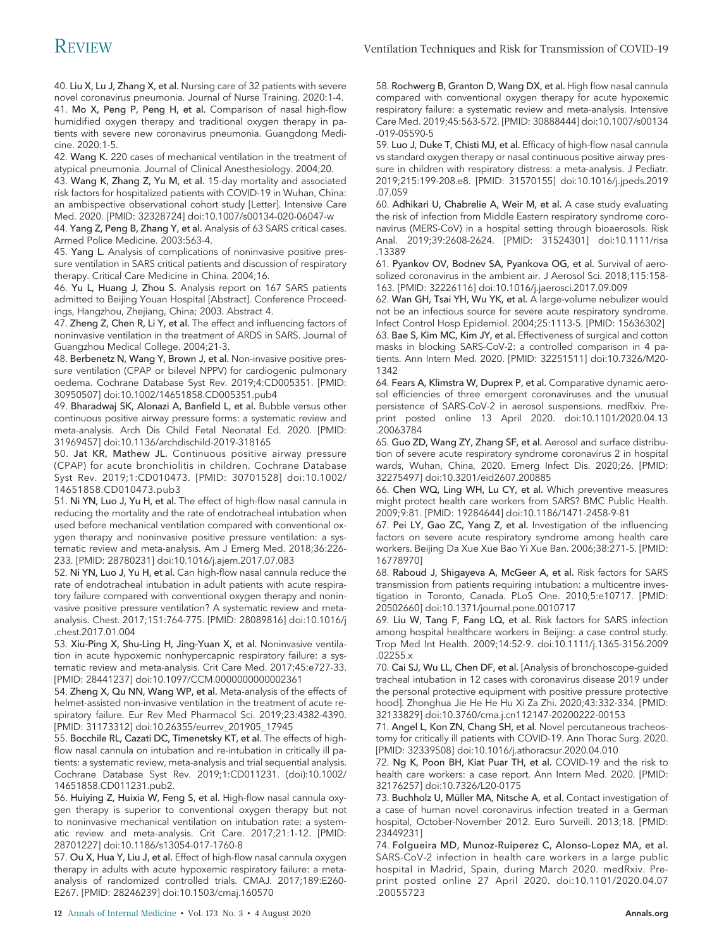40. Liu X, Lu J, Zhang X, et al. Nursing care of 32 patients with severe novel coronavirus pneumonia. Journal of Nurse Training. 2020:1-4. 41. Mo X, Peng P, Peng H, et al. Comparison of nasal high-flow humidified oxygen therapy and traditional oxygen therapy in patients with severe new coronavirus pneumonia. Guangdong Medicine. 2020:1-5.

42. Wang K. 220 cases of mechanical ventilation in the treatment of atypical pneumonia. Journal of Clinical Anesthesiology. 2004;20.

43. Wang K, Zhang Z, Yu M, et al. 15-day mortality and associated risk factors for hospitalized patients with COVID-19 in Wuhan, China: an ambispective observational cohort study [Letter]. Intensive Care Med. 2020. [PMID: 32328724] doi:10.1007/s00134-020-06047-w

44. Yang Z, Peng B, Zhang Y, et al. Analysis of 63 SARS critical cases. Armed Police Medicine. 2003:563-4.

45. Yang L. Analysis of complications of noninvasive positive pressure ventilation in SARS critical patients and discussion of respiratory therapy. Critical Care Medicine in China. 2004;16.

46. Yu L, Huang J, Zhou S. Analysis report on 167 SARS patients admitted to Beijing Youan Hospital [Abstract]. Conference Proceedings, Hangzhou, Zhejiang, China; 2003. Abstract 4.

47. Zheng Z, Chen R, Li Y, et al. The effect and influencing factors of noninvasive ventilation in the treatment of ARDS in SARS. Journal of Guangzhou Medical College. 2004;21-3.

48. Berbenetz N, Wang Y, Brown J, et al. Non-invasive positive pressure ventilation (CPAP or bilevel NPPV) for cardiogenic pulmonary oedema. Cochrane Database Syst Rev. 2019;4:CD005351. [PMID: 30950507] doi:10.1002/14651858.CD005351.pub4

49. Bharadwaj SK, Alonazi A, Banfield L, et al. Bubble versus other continuous positive airway pressure forms: a systematic review and meta-analysis. Arch Dis Child Fetal Neonatal Ed. 2020. [PMID: 31969457] doi:10.1136/archdischild-2019-318165

50. Jat KR, Mathew JL. Continuous positive airway pressure (CPAP) for acute bronchiolitis in children. Cochrane Database Syst Rev. 2019;1:CD010473. [PMID: 30701528] doi:10.1002/ 14651858.CD010473.pub3

51. Ni YN, Luo J, Yu H, et al. The effect of high-flow nasal cannula in reducing the mortality and the rate of endotracheal intubation when used before mechanical ventilation compared with conventional oxygen therapy and noninvasive positive pressure ventilation: a systematic review and meta-analysis. Am J Emerg Med. 2018;36:226- 233. [PMID: 28780231] doi:10.1016/j.ajem.2017.07.083

52. Ni YN, Luo J, Yu H, et al. Can high-flow nasal cannula reduce the rate of endotracheal intubation in adult patients with acute respiratory failure compared with conventional oxygen therapy and noninvasive positive pressure ventilation? A systematic review and metaanalysis. Chest. 2017;151:764-775. [PMID: 28089816] doi:10.1016/j .chest.2017.01.004

53. Xiu-Ping X, Shu-Ling H, Jing-Yuan X, et al. Noninvasive ventilation in acute hypoxemic nonhypercapnic respiratory failure: a systematic review and meta-analysis. Crit Care Med. 2017;45:e727-33. [PMID: 28441237] doi:10.1097/CCM.0000000000002361

54. Zheng X, Qu NN, Wang WP, et al. Meta-analysis of the effects of helmet-assisted non-invasive ventilation in the treatment of acute respiratory failure. Eur Rev Med Pharmacol Sci. 2019;23:4382-4390. [PMID: 31173312] doi:10.26355/eurrev\_201905\_17945

55. Bocchile RL, Cazati DC, Timenetsky KT, et al. The effects of highflow nasal cannula on intubation and re-intubation in critically ill patients: a systematic review, meta-analysis and trial sequential analysis. Cochrane Database Syst Rev. 2019;1:CD011231. (doi):10.1002/ 14651858.CD011231.pub2.

56. Huiying Z, Huixia W, Feng S, et al. High-flow nasal cannula oxygen therapy is superior to conventional oxygen therapy but not to noninvasive mechanical ventilation on intubation rate: a systematic review and meta-analysis. Crit Care. 2017;21:1-12. [PMID: 28701227] doi:10.1186/s13054-017-1760-8

57. Ou X, Hua Y, Liu J, et al. Effect of high-flow nasal cannula oxygen therapy in adults with acute hypoxemic respiratory failure: a metaanalysis of randomized controlled trials. CMAJ. 2017;189:E260- E267. [PMID: 28246239] doi:10.1503/cmaj.160570

58. Rochwerg B, Granton D, Wang DX, et al. High flow nasal cannula compared with conventional oxygen therapy for acute hypoxemic respiratory failure: a systematic review and meta-analysis. Intensive Care Med. 2019;45:563-572. [PMID: 30888444] doi:10.1007/s00134 -019-05590-5

59. Luo J, Duke T, Chisti MJ, et al. Efficacy of high-flow nasal cannula vs standard oxygen therapy or nasal continuous positive airway pressure in children with respiratory distress: a meta-analysis. J Pediatr. 2019;215:199-208.e8. [PMID: 31570155] doi:10.1016/j.jpeds.2019 .07.059

60. Adhikari U, Chabrelie A, Weir M, et al. A case study evaluating the risk of infection from Middle Eastern respiratory syndrome coronavirus (MERS-CoV) in a hospital setting through bioaerosols. Risk Anal. 2019;39:2608-2624. [PMID: 31524301] doi:10.1111/risa .13389

61. Pyankov OV, Bodnev SA, Pyankova OG, et al. Survival of aerosolized coronavirus in the ambient air. J Aerosol Sci. 2018;115:158- 163. [PMID: 32226116] doi:10.1016/j.jaerosci.2017.09.009

62. Wan GH, Tsai YH, Wu YK, et al. A large-volume nebulizer would not be an infectious source for severe acute respiratory syndrome. Infect Control Hosp Epidemiol. 2004;25:1113-5. [PMID: 15636302] 63. Bae S, Kim MC, Kim JY, et al. Effectiveness of surgical and cotton masks in blocking SARS-CoV-2: a controlled comparison in 4 patients. Ann Intern Med. 2020. [PMID: 32251511] doi:10.7326/M20- 1342

64. Fears A, Klimstra W, Duprex P, et al. Comparative dynamic aerosol efficiencies of three emergent coronaviruses and the unusual persistence of SARS-CoV-2 in aerosol suspensions. medRxiv. Preprint posted online 13 April 2020. doi:10.1101/2020.04.13 .20063784

65. Guo ZD, Wang ZY, Zhang SF, et al. Aerosol and surface distribution of severe acute respiratory syndrome coronavirus 2 in hospital wards, Wuhan, China, 2020. Emerg Infect Dis. 2020;26. [PMID: 32275497] doi:10.3201/eid2607.200885

66. Chen WQ, Ling WH, Lu CY, et al. Which preventive measures might protect health care workers from SARS? BMC Public Health. 2009;9:81. [PMID: 19284644] doi:10.1186/1471-2458-9-81

67. Pei LY, Gao ZC, Yang Z, et al. Investigation of the influencing factors on severe acute respiratory syndrome among health care workers. Beijing Da Xue Xue Bao Yi Xue Ban. 2006;38:271-5. [PMID: 16778970]

68. Raboud J, Shigayeva A, McGeer A, et al. Risk factors for SARS transmission from patients requiring intubation: a multicentre investigation in Toronto, Canada. PLoS One. 2010;5:e10717. [PMID: 20502660] doi:10.1371/journal.pone.0010717

69. Liu W, Tang F, Fang LQ, et al. Risk factors for SARS infection among hospital healthcare workers in Beijing: a case control study. Trop Med Int Health. 2009;14:52-9. doi:10.1111/j.1365-3156.2009 .02255.x

70. Cai SJ, Wu LL, Chen DF, et al. [Analysis of bronchoscope-guided tracheal intubation in 12 cases with coronavirus disease 2019 under the personal protective equipment with positive pressure protective hood]. Zhonghua Jie He He Hu Xi Za Zhi. 2020;43:332-334. [PMID: 32133829] doi:10.3760/cma.j.cn112147-20200222-00153

71. Angel L, Kon ZN, Chang SH, et al. Novel percutaneous tracheostomy for critically ill patients with COVID-19. Ann Thorac Surg. 2020. [PMID: 32339508] doi:10.1016/j.athoracsur.2020.04.010

72. Ng K, Poon BH, Kiat Puar TH, et al. COVID-19 and the risk to health care workers: a case report. Ann Intern Med. 2020. [PMID: 32176257] doi:10.7326/L20-0175

73. Buchholz U, Müller MA, Nitsche A, et al. Contact investigation of a case of human novel coronavirus infection treated in a German hospital, October-November 2012. Euro Surveill. 2013;18. [PMID: 23449231]

74. Folgueira MD, Munoz-Ruiperez C, Alonso-Lopez MA, et al. SARS-CoV-2 infection in health care workers in a large public hospital in Madrid, Spain, during March 2020. medRxiv. Preprint posted online 27 April 2020. doi:10.1101/2020.04.07 .20055723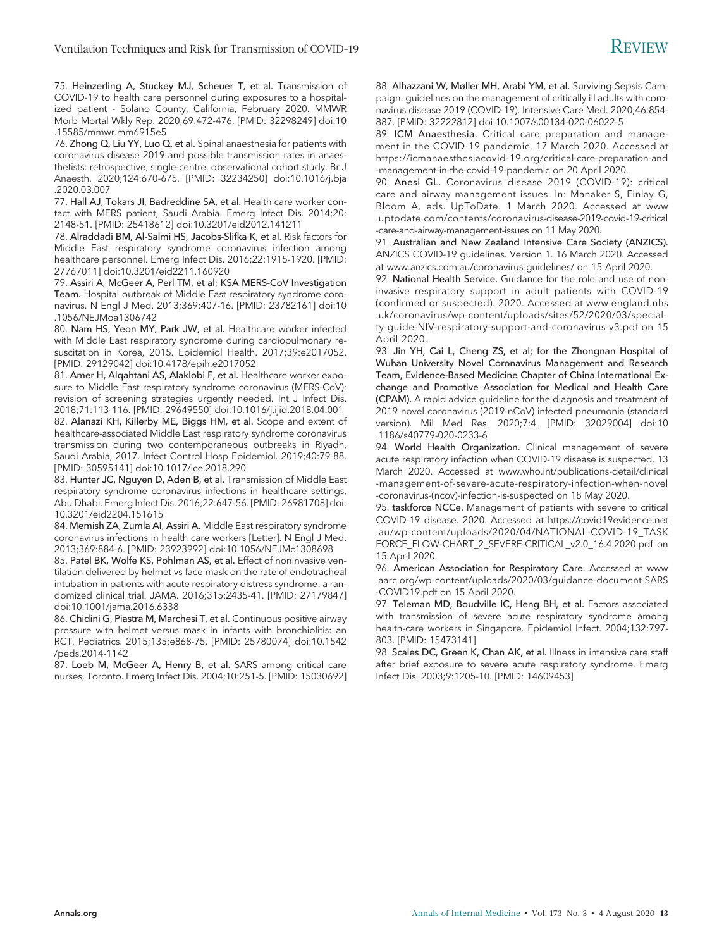75. Heinzerling A, Stuckey MJ, Scheuer T, et al. Transmission of COVID-19 to health care personnel during exposures to a hospitalized patient - Solano County, California, February 2020. MMWR Morb Mortal Wkly Rep. 2020;69:472-476. [PMID: 32298249] doi:10 .15585/mmwr.mm6915e5

76. Zhong Q, Liu YY, Luo Q, et al. Spinal anaesthesia for patients with coronavirus disease 2019 and possible transmission rates in anaesthetists: retrospective, single-centre, observational cohort study. Br J Anaesth. 2020;124:670-675. [PMID: 32234250] doi:10.1016/j.bja .2020.03.007

77. Hall AJ, Tokars JI, Badreddine SA, et al. Health care worker contact with MERS patient, Saudi Arabia. Emerg Infect Dis. 2014;20: 2148-51. [PMID: 25418612] doi:10.3201/eid2012.141211

78. Alraddadi BM, Al-Salmi HS, Jacobs-Slifka K, et al. Risk factors for Middle East respiratory syndrome coronavirus infection among healthcare personnel. Emerg Infect Dis. 2016;22:1915-1920. [PMID: 27767011] doi:10.3201/eid2211.160920

79. Assiri A, McGeer A, Perl TM, et al; KSA MERS-CoV Investigation Team. Hospital outbreak of Middle East respiratory syndrome coronavirus. N Engl J Med. 2013;369:407-16. [PMID: 23782161] doi:10 .1056/NEJMoa1306742

80. Nam HS, Yeon MY, Park JW, et al. Healthcare worker infected with Middle East respiratory syndrome during cardiopulmonary resuscitation in Korea, 2015. Epidemiol Health. 2017;39:e2017052. [PMID: 29129042] doi:10.4178/epih.e2017052

81. Amer H, Alqahtani AS, Alaklobi F, et al. Healthcare worker exposure to Middle East respiratory syndrome coronavirus (MERS-CoV): revision of screening strategies urgently needed. Int J Infect Dis. 2018;71:113-116. [PMID: 29649550] doi:10.1016/j.ijid.2018.04.001

82. Alanazi KH, Killerby ME, Biggs HM, et al. Scope and extent of healthcare-associated Middle East respiratory syndrome coronavirus transmission during two contemporaneous outbreaks in Riyadh, Saudi Arabia, 2017. Infect Control Hosp Epidemiol. 2019;40:79-88. [PMID: 30595141] doi:10.1017/ice.2018.290

83. Hunter JC, Nguyen D, Aden B, et al. Transmission of Middle East respiratory syndrome coronavirus infections in healthcare settings, Abu Dhabi. Emerg Infect Dis. 2016;22:647-56. [PMID: 26981708] doi: 10.3201/eid2204.151615

84. Memish ZA, Zumla AI, Assiri A. Middle East respiratory syndrome coronavirus infections in health care workers [Letter]. N Engl J Med. 2013;369:884-6. [PMID: 23923992] doi:10.1056/NEJMc1308698

85. Patel BK, Wolfe KS, Pohlman AS, et al. Effect of noninvasive ventilation delivered by helmet vs face mask on the rate of endotracheal intubation in patients with acute respiratory distress syndrome: a randomized clinical trial. JAMA. 2016;315:2435-41. [PMID: 27179847] doi:10.1001/jama.2016.6338

86. Chidini G, Piastra M, Marchesi T, et al. Continuous positive airway pressure with helmet versus mask in infants with bronchiolitis: an RCT. Pediatrics. 2015;135:e868-75. [PMID: 25780074] doi:10.1542 /peds.2014-1142

87. Loeb M, McGeer A, Henry B, et al. SARS among critical care nurses, Toronto. Emerg Infect Dis. 2004;10:251-5. [PMID: 15030692] 88. Alhazzani W, Møller MH, Arabi YM, et al. Surviving Sepsis Campaign: guidelines on the management of critically ill adults with coronavirus disease 2019 (COVID-19). Intensive Care Med. 2020;46:854- 887. [PMID: 32222812] doi:10.1007/s00134-020-06022-5

89. ICM Anaesthesia. Critical care preparation and management in the COVID-19 pandemic. 17 March 2020. Accessed at [https://icmanaesthesiacovid-19.org/critical-care-preparation-and](https://icmanaesthesiacovid-19.org/critical-care-preparation-and-management-in-the-covid-19-pandemic) [-management-in-the-covid-19-pandemic](https://icmanaesthesiacovid-19.org/critical-care-preparation-and-management-in-the-covid-19-pandemic) on 20 April 2020.

90. Anesi GL. Coronavirus disease 2019 (COVID-19): critical care and airway management issues. In: Manaker S, Finlay G, Bloom A, eds. UpToDate. 1 March 2020. Accessed at [www](http://www.uptodate.com/contents/coronavirus-disease-2019-covid-19-critical-care-and-airway-management-issues) [.uptodate.com/contents/coronavirus-disease-2019-covid-19-critical](http://www.uptodate.com/contents/coronavirus-disease-2019-covid-19-critical-care-and-airway-management-issues) [-care-and-airway-management-issues](http://www.uptodate.com/contents/coronavirus-disease-2019-covid-19-critical-care-and-airway-management-issues) on 11 May 2020.

91. Australian and New Zealand Intensive Care Society (ANZICS). ANZICS COVID-19 guidelines. Version 1. 16 March 2020. Accessed at [www.anzics.com.au/coronavirus-guidelines/](http://www.anzics.com.au/coronavirus-guidelines/) on 15 April 2020.

92. National Health Service. Guidance for the role and use of noninvasive respiratory support in adult patients with COVID-19 (confirmed or suspected). 2020. Accessed at [www.england.nhs](http://www.england.nhs.uk/coronavirus/wp-content/uploads/sites/52/2020/03/specialty-guide-NIV-respiratory-support-and-coronavirus-v3.pdf) [.uk/coronavirus/wp-content/uploads/sites/52/2020/03/special](http://www.england.nhs.uk/coronavirus/wp-content/uploads/sites/52/2020/03/specialty-guide-NIV-respiratory-support-and-coronavirus-v3.pdf)[ty-guide-NIV-respiratory-support-and-coronavirus-v3.pdf](http://www.england.nhs.uk/coronavirus/wp-content/uploads/sites/52/2020/03/specialty-guide-NIV-respiratory-support-and-coronavirus-v3.pdf) on 15 April 2020.

93. Jin YH, Cai L, Cheng ZS, et al; for the Zhongnan Hospital of Wuhan University Novel Coronavirus Management and Research Team, Evidence-Based Medicine Chapter of China International Exchange and Promotive Association for Medical and Health Care (CPAM). A rapid advice guideline for the diagnosis and treatment of 2019 novel coronavirus (2019-nCoV) infected pneumonia (standard version). Mil Med Res. 2020;7:4. [PMID: 32029004] doi:10 .1186/s40779-020-0233-6

94. World Health Organization. Clinical management of severe acute respiratory infection when COVID-19 disease is suspected. 13 March 2020. Accessed at [www.who.int/publications-detail/clinical](http://www.who.int/publications-detail/clinical-management-of-severe-acute-respiratory-infection-when-novel-coronavirus-(ncov)-infection-is-suspected) [-management-of-severe-acute-respiratory-infection-when-novel](http://www.who.int/publications-detail/clinical-management-of-severe-acute-respiratory-infection-when-novel-coronavirus-(ncov)-infection-is-suspected) [-coronavirus-\(ncov\)-infection-is-suspected](http://www.who.int/publications-detail/clinical-management-of-severe-acute-respiratory-infection-when-novel-coronavirus-(ncov)-infection-is-suspected) on 18 May 2020.

95. taskforce NCCe. Management of patients with severe to critical COVID-19 disease. 2020. Accessed at [https://covid19evidence.net](https://covid19evidence.net.au/wp-content/uploads/2020/04/NATIONAL-COVID-19_TASKFORCE_FLOW-CHART_2_SEVERE-CRITICAL_v2.0_16.4.2020.pdf) [.au/wp-content/uploads/2020/04/NATIONAL-COVID-19\\_TASK](https://covid19evidence.net.au/wp-content/uploads/2020/04/NATIONAL-COVID-19_TASKFORCE_FLOW-CHART_2_SEVERE-CRITICAL_v2.0_16.4.2020.pdf) [FORCE\\_FLOW-CHART\\_2\\_SEVERE-CRITICAL\\_v2.0\\_16.4.2020.pdf](https://covid19evidence.net.au/wp-content/uploads/2020/04/NATIONAL-COVID-19_TASKFORCE_FLOW-CHART_2_SEVERE-CRITICAL_v2.0_16.4.2020.pdf) on 15 April 2020.

96. American Association for Respiratory Care. Accessed at [www](http://www.aarc.org/wp-content/uploads/2020/03/guidance-document-SARS-COVID19.pdf) [.aarc.org/wp-content/uploads/2020/03/guidance-document-SARS](http://www.aarc.org/wp-content/uploads/2020/03/guidance-document-SARS-COVID19.pdf) [-COVID19.pdf](http://www.aarc.org/wp-content/uploads/2020/03/guidance-document-SARS-COVID19.pdf) on 15 April 2020.

97. Teleman MD, Boudville IC, Heng BH, et al. Factors associated with transmission of severe acute respiratory syndrome among health-care workers in Singapore. Epidemiol Infect. 2004;132:797- 803. [PMID: 15473141]

98. Scales DC, Green K, Chan AK, et al. Illness in intensive care staff after brief exposure to severe acute respiratory syndrome. Emerg Infect Dis. 2003;9:1205-10. [PMID: 14609453]